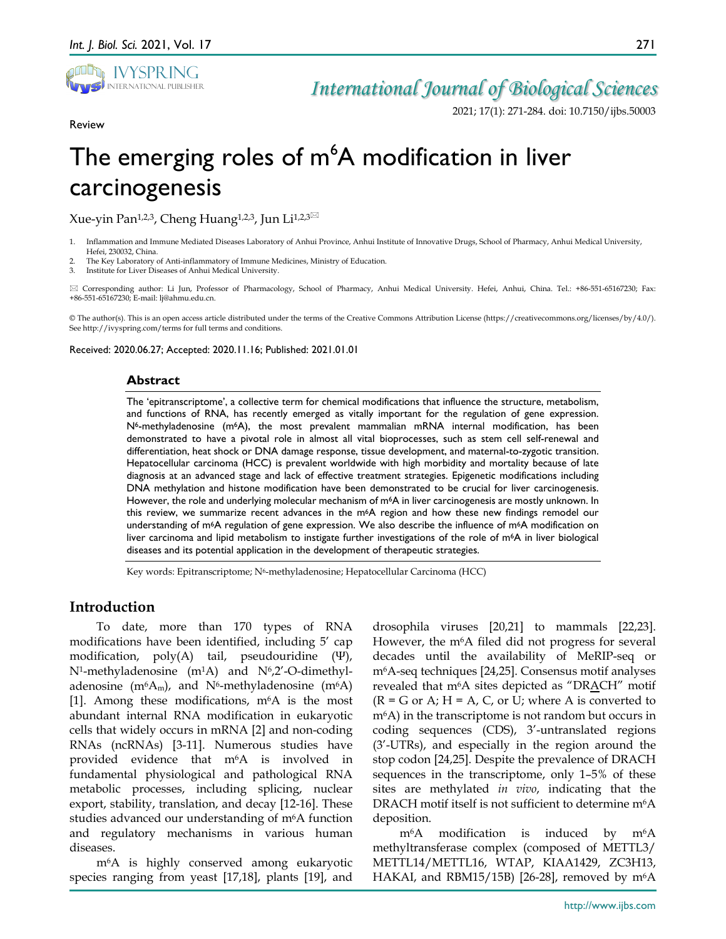

Review

## *International Journal of Biological Sciences*

2021; 17(1): 271-284. doi: 10.7150/ijbs.50003

# The emerging roles of  $m^6$ A modification in liver carcinogenesis

Xue-yin Pan<sup>1,2,3</sup>, Cheng Huang<sup>1,2,3</sup>, Jun Li<sup>1,2,3 $\boxtimes$ </sup>

- 1. Inflammation and Immune Mediated Diseases Laboratory of Anhui Province, Anhui Institute of Innovative Drugs, School of Pharmacy, Anhui Medical University, Hefei, 230032, China.
- 2. The Key Laboratory of Anti-inflammatory of Immune Medicines, Ministry of Education.

3. Institute for Liver Diseases of Anhui Medical University.

 Corresponding author: Li Jun, Professor of Pharmacology, School of Pharmacy, Anhui Medical University. Hefei, Anhui, China. Tel.: +86-551-65167230; Fax: +86-551-65167230; E-mail: lj@ahmu.edu.cn.

© The author(s). This is an open access article distributed under the terms of the Creative Commons Attribution License (https://creativecommons.org/licenses/by/4.0/). See http://ivyspring.com/terms for full terms and conditions.

Received: 2020.06.27; Accepted: 2020.11.16; Published: 2021.01.01

#### **Abstract**

The 'epitranscriptome', a collective term for chemical modifications that influence the structure, metabolism, and functions of RNA, has recently emerged as vitally important for the regulation of gene expression. N6-methyladenosine (m6A), the most prevalent mammalian mRNA internal modification, has been demonstrated to have a pivotal role in almost all vital bioprocesses, such as stem cell self-renewal and differentiation, heat shock or DNA damage response, tissue development, and maternal-to-zygotic transition. Hepatocellular carcinoma (HCC) is prevalent worldwide with high morbidity and mortality because of late diagnosis at an advanced stage and lack of effective treatment strategies. Epigenetic modifications including DNA methylation and histone modification have been demonstrated to be crucial for liver carcinogenesis. However, the role and underlying molecular mechanism of m<sup>6</sup>A in liver carcinogenesis are mostly unknown. In this review, we summarize recent advances in the m<sup>6</sup>A region and how these new findings remodel our understanding of m6A regulation of gene expression. We also describe the influence of m6A modification on liver carcinoma and lipid metabolism to instigate further investigations of the role of m6A in liver biological diseases and its potential application in the development of therapeutic strategies.

Key words: Epitranscriptome; N6-methyladenosine; Hepatocellular Carcinoma (HCC)

## **Introduction**

To date, more than 170 types of RNA modifications have been identified, including 5' cap modification, poly(A) tail, pseudouridine (Ψ),  $N^1$ -methyladenosine (m<sup>1</sup>A) and  $N^6$ ,2'-O-dimethyladenosine (m<sup>6</sup>A<sub>m</sub>), and N<sup>6</sup>-methyladenosine (m<sup>6</sup>A) [1]. Among these modifications, m6A is the most abundant internal RNA modification in eukaryotic cells that widely occurs in mRNA [2] and non-coding RNAs (ncRNAs) [3-11]. Numerous studies have provided evidence that m6A is involved in fundamental physiological and pathological RNA metabolic processes, including splicing, nuclear export, stability, translation, and decay [12-16]. These studies advanced our understanding of m6A function and regulatory mechanisms in various human diseases.

m6A is highly conserved among eukaryotic species ranging from yeast [17,18], plants [19], and drosophila viruses [20,21] to mammals [22,23]. However, the m<sup>6</sup>A filed did not progress for several decades until the availability of MeRIP-seq or m6A-seq techniques [24,25]. Consensus motif analyses revealed that  $m<sup>6</sup>A$  sites depicted as "DRACH" motif  $(R = G \text{ or } A; H = A, C, \text{ or } U;$  where A is converted to m6A) in the transcriptome is not random but occurs in coding sequences (CDS), 3'-untranslated regions (3'-UTRs), and especially in the region around the stop codon [24,25]. Despite the prevalence of DRACH sequences in the transcriptome, only 1–5% of these sites are methylated *in vivo*, indicating that the DRACH motif itself is not sufficient to determine m<sup>6</sup>A deposition.

m6A modification is induced by m6A methyltransferase complex (composed of METTL3/ METTL14/METTL16, WTAP, KIAA1429, ZC3H13, HAKAI, and RBM15/15B) [26-28], removed by  $m<sup>6</sup>A$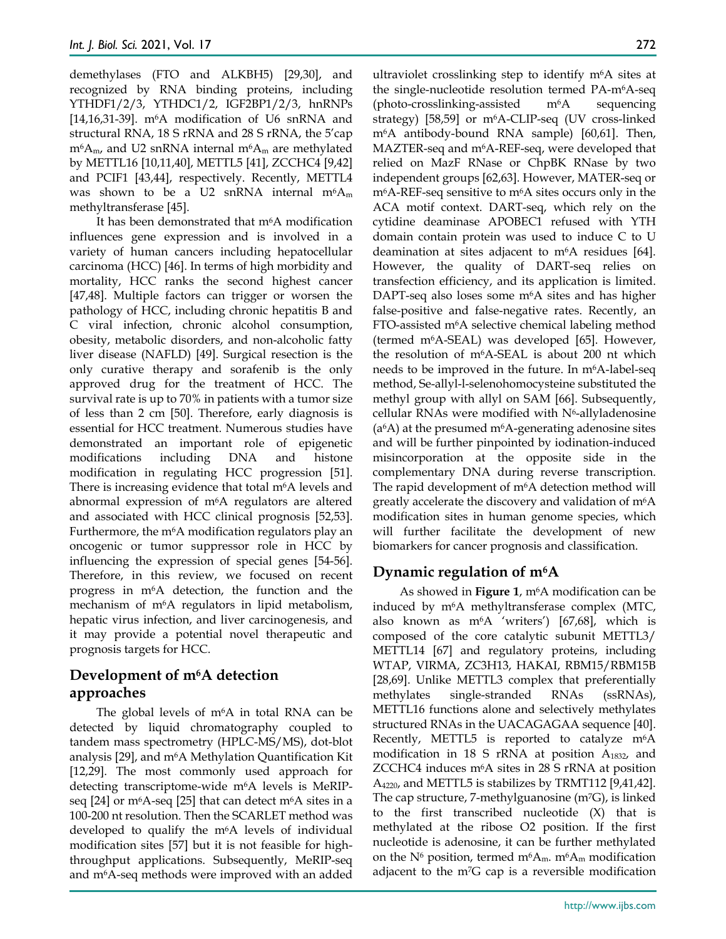demethylases (FTO and ALKBH5) [29,30], and recognized by RNA binding proteins, including YTHDF1/2/3, YTHDC1/2, IGF2BP1/2/3, hnRNPs [14,16,31-39].  $m<sup>6</sup>A$  modification of U6 snRNA and structural RNA, 18 S rRNA and 28 S rRNA, the 5'cap  $m<sup>6</sup>A<sub>m</sub>$ , and U2 snRNA internal  $m<sup>6</sup>A<sub>m</sub>$  are methylated by METTL16 [10,11,40], METTL5 [41], ZCCHC4 [9,42] and PCIF1 [43,44], respectively. Recently, METTL4 was shown to be a U2 snRNA internal  $m<sup>6</sup>A<sub>m</sub>$ methyltransferase [45].

It has been demonstrated that m<sup>6</sup>A modification influences gene expression and is involved in a variety of human cancers including hepatocellular carcinoma (HCC) [46]. In terms of high morbidity and mortality, HCC ranks the second highest cancer [47,48]. Multiple factors can trigger or worsen the pathology of HCC, including chronic hepatitis B and C viral infection, chronic alcohol consumption, obesity, metabolic disorders, and non-alcoholic fatty liver disease (NAFLD) [49]. Surgical resection is the only curative therapy and sorafenib is the only approved drug for the treatment of HCC. The survival rate is up to 70% in patients with a tumor size of less than 2 cm [50]. Therefore, early diagnosis is essential for HCC treatment. Numerous studies have demonstrated an important role of epigenetic modifications including DNA and histone modification in regulating HCC progression [51]. There is increasing evidence that total  $m<sup>6</sup>A$  levels and abnormal expression of m6A regulators are altered and associated with HCC clinical prognosis [52,53]. Furthermore, the m6A modification regulators play an oncogenic or tumor suppressor role in HCC by influencing the expression of special genes [54-56]. Therefore, in this review, we focused on recent progress in m6A detection, the function and the mechanism of m6A regulators in lipid metabolism, hepatic virus infection, and liver carcinogenesis, and it may provide a potential novel therapeutic and prognosis targets for HCC.

## **Development of m6A detection approaches**

The global levels of  $m<sup>6</sup>A$  in total RNA can be detected by liquid chromatography coupled to tandem mass spectrometry (HPLC-MS/MS), dot-blot analysis [29], and m6A Methylation Quantification Kit [12,29]. The most commonly used approach for detecting transcriptome-wide m6A levels is MeRIPseq [24] or  $m<sup>6</sup>A$ -seq [25] that can detect  $m<sup>6</sup>A$  sites in a 100-200 nt resolution. Then the SCARLET method was developed to qualify the m6A levels of individual modification sites [57] but it is not feasible for highthroughput applications. Subsequently, MeRIP-seq and m6A-seq methods were improved with an added

ultraviolet crosslinking step to identify m6A sites at the single-nucleotide resolution termed PA-m6A-seq (photo-crosslinking-assisted m6A sequencing strategy) [58,59] or m6A-CLIP-seq (UV cross-linked m6A antibody-bound RNA sample) [60,61]. Then, MAZTER-seq and m6A-REF-seq, were developed that relied on MazF RNase or ChpBK RNase by two independent groups [62,63]. However, MATER-seq or  $m<sup>6</sup>A$ -REF-seq sensitive to  $m<sup>6</sup>A$  sites occurs only in the ACA motif context. DART-seq, which rely on the cytidine deaminase APOBEC1 refused with YTH domain contain protein was used to induce C to U deamination at sites adjacent to  $m<sup>6</sup>A$  residues [64]. However, the quality of DART-seq relies on transfection efficiency, and its application is limited. DAPT-seq also loses some  $m<sup>6</sup>A$  sites and has higher false-positive and false-negative rates. Recently, an FTO-assisted m6A selective chemical labeling method (termed m6A-SEAL) was developed [65]. However, the resolution of m6A-SEAL is about 200 nt which needs to be improved in the future. In  $m<sup>6</sup>A$ -label-seq method, Se-allyl-l-selenohomocysteine substituted the methyl group with allyl on SAM [66]. Subsequently, cellular RNAs were modified with  $N<sup>6</sup>$ -allyladenosine  $(a<sup>6</sup>A)$  at the presumed m<sup>6</sup>A-generating adenosine sites and will be further pinpointed by iodination-induced misincorporation at the opposite side in the complementary DNA during reverse transcription. The rapid development of m<sup>6</sup>A detection method will greatly accelerate the discovery and validation of m6A modification sites in human genome species, which will further facilitate the development of new biomarkers for cancer prognosis and classification.

## **Dynamic regulation of m6A**

As showed in **Figure 1**, m6A modification can be induced by m6A methyltransferase complex (MTC, also known as  $m<sup>6</sup>A$  'writers') [67,68], which is composed of the core catalytic subunit METTL3/ METTL14 [67] and regulatory proteins, including WTAP, VIRMA, ZC3H13, HAKAI, RBM15/RBM15B [28,69]. Unlike METTL3 complex that preferentially methylates single-stranded RNAs (ssRNAs), METTL16 functions alone and selectively methylates structured RNAs in the UACAGAGAA sequence [40]. Recently, METTL5 is reported to catalyze  $m<sup>6</sup>A$ modification in 18 S rRNA at position A1832, and ZCCHC4 induces m6A sites in 28 S rRNA at position A4220, and METTL5 is stabilizes by TRMT112 [9,41,42]. The cap structure, 7-methylguanosine (m7G), is linked to the first transcribed nucleotide (X) that is methylated at the ribose O2 position. If the first nucleotide is adenosine, it can be further methylated on the  $N^6$  position, termed m<sup>6</sup>A<sub>m</sub>. m<sup>6</sup>A<sub>m</sub> modification adjacent to the m7G cap is a reversible modification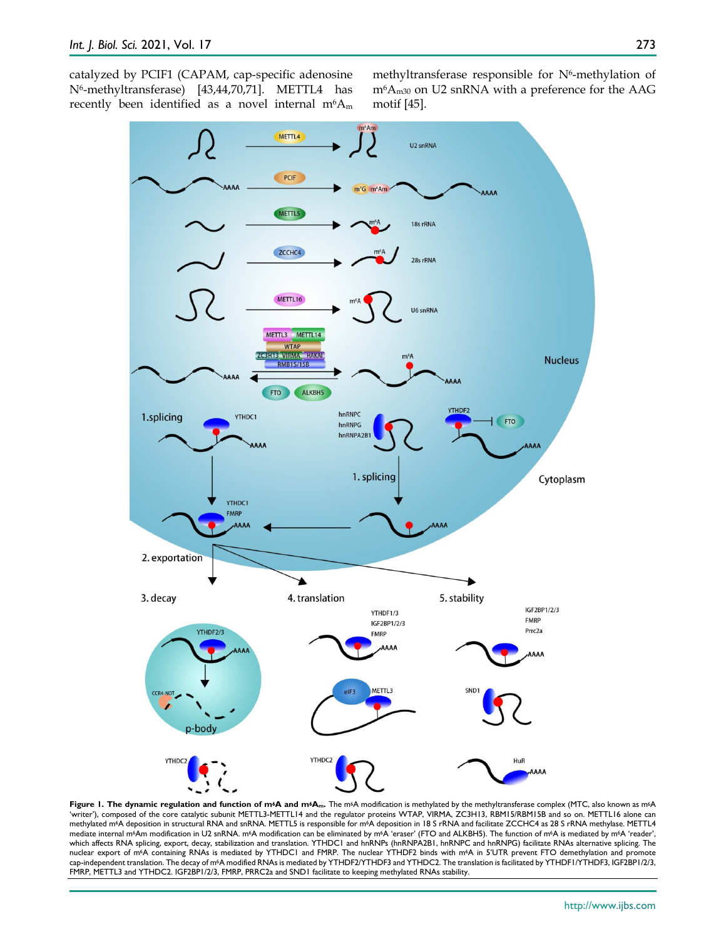catalyzed by PCIF1 (CAPAM, cap-specific adenosine N6-methyltransferase) [43,44,70,71]. METTL4 has recently been identified as a novel internal  $m<sup>6</sup>A<sub>m</sub>$  methyltransferase responsible for N<sup>6</sup>-methylation of  $m<sup>6</sup>A<sub>m30</sub>$  on U2 snRNA with a preference for the AAG motif [45].



Figure 1. The dynamic regulation and function of m<sup>6</sup>A and m<sup>6</sup>Am. The m<sup>6</sup>A modification is methylated by the methyltransferase complex (MTC, also known as m<sup>6</sup>A 'writer'), composed of the core catalytic subunit METTL3-METTL14 and the regulator proteins WTAP, VIRMA, ZC3H13, RBM15/RBM15B and so on. METTL16 alone can methylated m<sup>6</sup>A deposition in structural RNA and snRNA. METTL5 is responsible for m<sup>6</sup>A deposition in 18 S rRNA and facilitate ZCCHC4 as 28 S rRNA methylase. METTL4 mediate internal m6Am modification in U2 snRNA. m6A modification can be eliminated by m6A 'eraser' (FTO and ALKBH5). The function of m6A is mediated by m6A 'reader', which affects RNA splicing, export, decay, stabilization and translation. YTHDC1 and hnRNPs (hnRNPA2B1, hnRNPC and hnRNPG) facilitate RNAs alternative splicing. The nuclear export of m6A containing RNAs is mediated by YTHDC1 and FMRP. The nuclear YTHDF2 binds with m6A in 5'UTR prevent FTO demethylation and promote cap-independent translation. The decay of m6A modified RNAs is mediated by YTHDF2/YTHDF3 and YTHDC2. The translation is facilitated by YTHDF1/YTHDF3, IGF2BP1/2/3, FMRP, METTL3 and YTHDC2. IGF2BP1/2/3, FMRP, PRRC2a and SND1 facilitate to keeping methylated RNAs stability.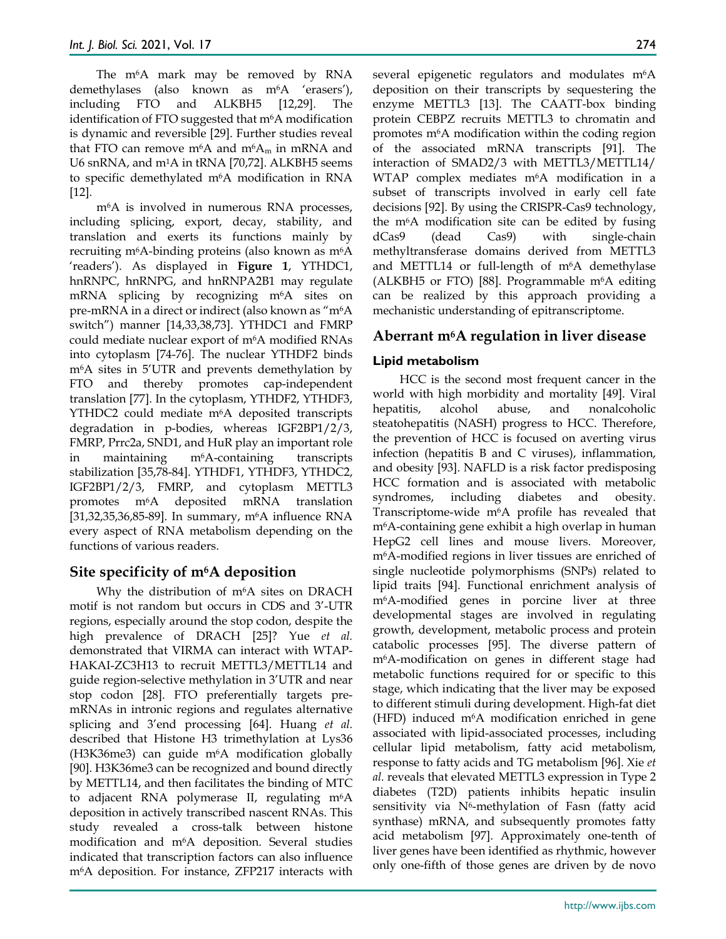The m<sup>6</sup>A mark may be removed by RNA demethylases (also known as m<sup>6</sup>A 'erasers'), including FTO and ALKBH5 [12,29]. The identification of FTO suggested that m<sup>6</sup>A modification is dynamic and reversible [29]. Further studies reveal that FTO can remove  $m<sup>6</sup>A$  and  $m<sup>6</sup>A<sub>m</sub>$  in mRNA and U6 snRNA, and m1A in tRNA [70,72]. ALKBH5 seems to specific demethylated m6A modification in RNA [12].

m6A is involved in numerous RNA processes, including splicing, export, decay, stability, and translation and exerts its functions mainly by recruiting m<sup>6</sup>A-binding proteins (also known as  $m<sup>6</sup>A$ 'readers'). As displayed in **Figure 1**, YTHDC1, hnRNPC, hnRNPG, and hnRNPA2B1 may regulate mRNA splicing by recognizing m6A sites on pre-mRNA in a direct or indirect (also known as "m6A switch") manner [14,33,38,73]. YTHDC1 and FMRP could mediate nuclear export of m6A modified RNAs into cytoplasm [74-76]. The nuclear YTHDF2 binds m6A sites in 5'UTR and prevents demethylation by FTO and thereby promotes cap-independent translation [77]. In the cytoplasm, YTHDF2, YTHDF3, YTHDC2 could mediate m<sup>6</sup>A deposited transcripts degradation in p-bodies, whereas IGF2BP1/2/3, FMRP, Prrc2a, SND1, and HuR play an important role in maintaining m6A-containing transcripts stabilization [35,78-84]. YTHDF1, YTHDF3, YTHDC2, IGF2BP1/2/3, FMRP, and cytoplasm METTL3 promotes m6A deposited mRNA translation [31,32,35,36,85-89]. In summary, m6A influence RNA every aspect of RNA metabolism depending on the functions of various readers.

## **Site specificity of m6A deposition**

Why the distribution of m6A sites on DRACH motif is not random but occurs in CDS and 3'-UTR regions, especially around the stop codon, despite the high prevalence of DRACH [25]? Yue *et al.* demonstrated that VIRMA can interact with WTAP-HAKAI-ZC3H13 to recruit METTL3/METTL14 and guide region-selective methylation in 3'UTR and near stop codon [28]. FTO preferentially targets premRNAs in intronic regions and regulates alternative splicing and 3'end processing [64]. Huang *et al.* described that Histone H3 trimethylation at Lys36 (H3K36me3) can guide m6A modification globally [90]. H3K36me3 can be recognized and bound directly by METTL14, and then facilitates the binding of MTC to adjacent RNA polymerase II, regulating m<sup>6</sup>A deposition in actively transcribed nascent RNAs. This study revealed a cross-talk between histone modification and m6A deposition. Several studies indicated that transcription factors can also influence m6A deposition. For instance, ZFP217 interacts with

several epigenetic regulators and modulates m<sup>6</sup>A deposition on their transcripts by sequestering the enzyme METTL3 [13]. The CAATT-box binding protein CEBPZ recruits METTL3 to chromatin and promotes m6A modification within the coding region of the associated mRNA transcripts [91]. The interaction of SMAD2/3 with METTL3/METTL14/ WTAP complex mediates m<sup>6</sup>A modification in a subset of transcripts involved in early cell fate decisions [92]. By using the CRISPR-Cas9 technology, the m6A modification site can be edited by fusing dCas9 (dead Cas9) with single-chain methyltransferase domains derived from METTL3 and METTL14 or full-length of  $m<sup>6</sup>A$  demethylase (ALKBH5 or FTO) [88]. Programmable m<sup>6</sup>A editing can be realized by this approach providing a mechanistic understanding of epitranscriptome.

## **Aberrant m6A regulation in liver disease**

## **Lipid metabolism**

HCC is the second most frequent cancer in the world with high morbidity and mortality [49]. Viral hepatitis, alcohol abuse, and nonalcoholic steatohepatitis (NASH) progress to HCC. Therefore, the prevention of HCC is focused on averting virus infection (hepatitis B and C viruses), inflammation, and obesity [93]. NAFLD is a risk factor predisposing HCC formation and is associated with metabolic syndromes, including diabetes and obesity. Transcriptome-wide m6A profile has revealed that m6A-containing gene exhibit a high overlap in human HepG2 cell lines and mouse livers. Moreover, m6A-modified regions in liver tissues are enriched of single nucleotide polymorphisms (SNPs) related to lipid traits [94]. Functional enrichment analysis of m6A-modified genes in porcine liver at three developmental stages are involved in regulating growth, development, metabolic process and protein catabolic processes [95]. The diverse pattern of m6A-modification on genes in different stage had metabolic functions required for or specific to this stage, which indicating that the liver may be exposed to different stimuli during development. High-fat diet (HFD) induced m6A modification enriched in gene associated with lipid-associated processes, including cellular lipid metabolism, fatty acid metabolism, response to fatty acids and TG metabolism [96]. Xie *et al.* reveals that elevated METTL3 expression in Type 2 diabetes (T2D) patients inhibits hepatic insulin sensitivity via  $N^6$ -methylation of Fasn (fatty acid synthase) mRNA, and subsequently promotes fatty acid metabolism [97]. Approximately one-tenth of liver genes have been identified as rhythmic, however only one-fifth of those genes are driven by de novo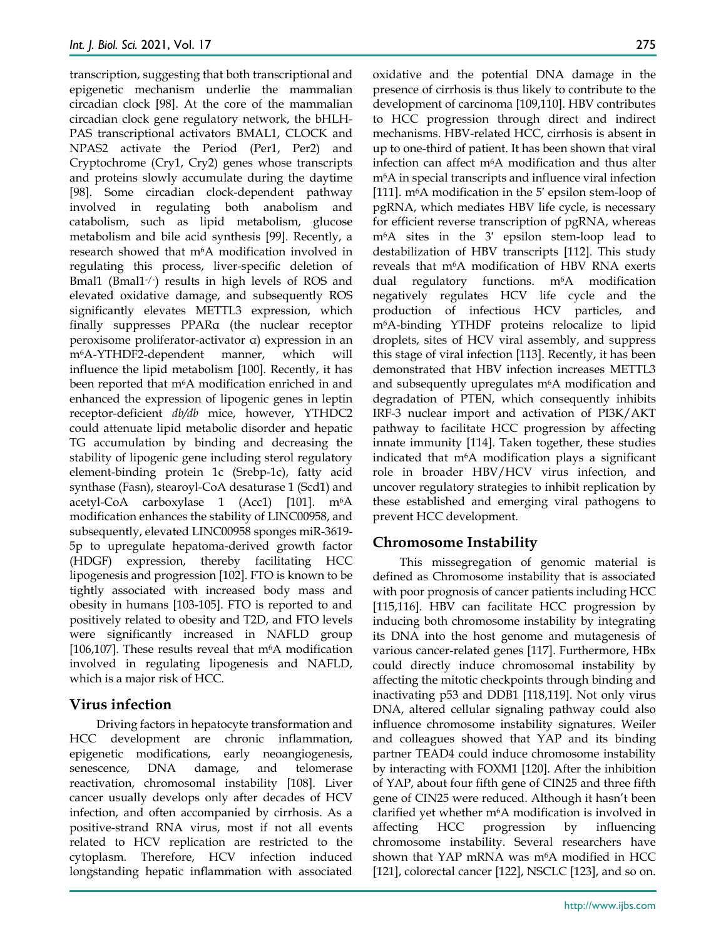transcription, suggesting that both transcriptional and epigenetic mechanism underlie the mammalian circadian clock [98]. At the core of the mammalian circadian clock gene regulatory network, the bHLH-PAS transcriptional activators BMAL1, CLOCK and NPAS2 activate the Period (Per1, Per2) and Cryptochrome (Cry1, Cry2) genes whose transcripts and proteins slowly accumulate during the daytime [98]. Some circadian clock-dependent pathway involved in regulating both anabolism and catabolism, such as lipid metabolism, glucose metabolism and bile acid synthesis [99]. Recently, a research showed that m6A modification involved in regulating this process, liver-specific deletion of Bmal1 (Bmal1-/- ) results in high levels of ROS and elevated oxidative damage, and subsequently ROS significantly elevates METTL3 expression, which finally suppresses PPARα (the nuclear receptor peroxisome proliferator-activator α) expression in an m6A-YTHDF2-dependent manner, which will influence the lipid metabolism [100]. Recently, it has been reported that m<sup>6</sup>A modification enriched in and enhanced the expression of lipogenic genes in leptin receptor-deficient *db/db* mice, however, YTHDC2 could attenuate lipid metabolic disorder and hepatic TG accumulation by binding and decreasing the stability of lipogenic gene including sterol regulatory element-binding protein 1c (Srebp-1c), fatty acid synthase (Fasn), stearoyl-CoA desaturase 1 (Scd1) and acetyl-CoA carboxylase  $1$  (Acc1) [101].  $m<sup>6</sup>A$ modification enhances the stability of LINC00958, and subsequently, elevated LINC00958 sponges miR-3619- 5p to upregulate hepatoma-derived growth factor (HDGF) expression, thereby facilitating HCC lipogenesis and progression [102]. FTO is known to be tightly associated with increased body mass and obesity in humans [103-105]. FTO is reported to and positively related to obesity and T2D, and FTO levels were significantly increased in NAFLD group [106,107]. These results reveal that  $m<sup>6</sup>A$  modification involved in regulating lipogenesis and NAFLD, which is a major risk of HCC.

## **Virus infection**

Driving factors in hepatocyte transformation and HCC development are chronic inflammation, epigenetic modifications, early neoangiogenesis, senescence, DNA damage, and telomerase reactivation, chromosomal instability [108]. Liver cancer usually develops only after decades of HCV infection, and often accompanied by cirrhosis. As a positive-strand RNA virus, most if not all events related to HCV replication are restricted to the cytoplasm. Therefore, HCV infection induced longstanding hepatic inflammation with associated oxidative and the potential DNA damage in the presence of cirrhosis is thus likely to contribute to the development of carcinoma [109,110]. HBV contributes to HCC progression through direct and indirect mechanisms. HBV-related HCC, cirrhosis is absent in up to one-third of patient. It has been shown that viral infection can affect m6A modification and thus alter m6A in special transcripts and influence viral infection [111].  $m<sup>6</sup>A$  modification in the 5' epsilon stem-loop of pgRNA, which mediates HBV life cycle, is necessary for efficient reverse transcription of pgRNA, whereas m6A sites in the 3′ epsilon stem-loop lead to destabilization of HBV transcripts [112]. This study reveals that m6A modification of HBV RNA exerts dual regulatory functions.  $m<sup>6</sup>A$  modification negatively regulates HCV life cycle and the production of infectious HCV particles, and m6A-binding YTHDF proteins relocalize to lipid droplets, sites of HCV viral assembly, and suppress this stage of viral infection [113]. Recently, it has been demonstrated that HBV infection increases METTL3 and subsequently upregulates  $m<sup>6</sup>A$  modification and degradation of PTEN, which consequently inhibits IRF-3 nuclear import and activation of PI3K/AKT pathway to facilitate HCC progression by affecting innate immunity [114]. Taken together, these studies indicated that m6A modification plays a significant role in broader HBV/HCV virus infection, and uncover regulatory strategies to inhibit replication by these established and emerging viral pathogens to prevent HCC development.

## **Chromosome Instability**

This missegregation of genomic material is defined as Chromosome instability that is associated with poor prognosis of cancer patients including HCC [115,116]. HBV can facilitate HCC progression by inducing both chromosome instability by integrating its DNA into the host genome and mutagenesis of various cancer-related genes [117]. Furthermore, HBx could directly induce chromosomal instability by affecting the mitotic checkpoints through binding and inactivating p53 and DDB1 [118,119]. Not only virus DNA, altered cellular signaling pathway could also influence chromosome instability signatures. Weiler and colleagues showed that YAP and its binding partner TEAD4 could induce chromosome instability by interacting with FOXM1 [120]. After the inhibition of YAP, about four fifth gene of CIN25 and three fifth gene of CIN25 were reduced. Although it hasn't been clarified yet whether m6A modification is involved in affecting HCC progression by influencing chromosome instability. Several researchers have shown that YAP mRNA was m<sup>6</sup>A modified in HCC [121], colorectal cancer [122], NSCLC [123], and so on.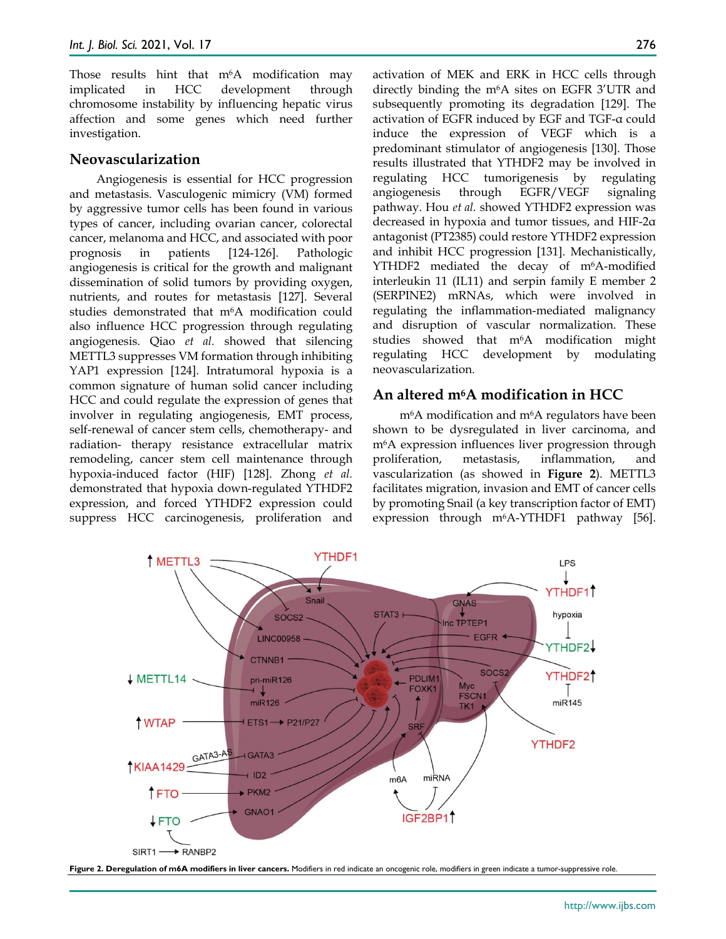Those results hint that m<sup>6</sup>A modification may implicated in HCC development through chromosome instability by influencing hepatic virus affection and some genes which need further investigation.

#### **Neovascularization**

Angiogenesis is essential for HCC progression and metastasis. Vasculogenic mimicry (VM) formed by aggressive tumor cells has been found in various types of cancer, including ovarian cancer, colorectal cancer, melanoma and HCC, and associated with poor prognosis in patients [124-126]. Pathologic angiogenesis is critical for the growth and malignant dissemination of solid tumors by providing oxygen, nutrients, and routes for metastasis [127]. Several studies demonstrated that m<sup>6</sup>A modification could also influence HCC progression through regulating angiogenesis. Qiao *et al.* showed that silencing METTL3 suppresses VM formation through inhibiting YAP1 expression [124]. Intratumoral hypoxia is a common signature of human solid cancer including HCC and could regulate the expression of genes that involver in regulating angiogenesis, EMT process, self-renewal of cancer stem cells, chemotherapy- and radiation- therapy resistance extracellular matrix remodeling, cancer stem cell maintenance through hypoxia-induced factor (HIF) [128]. Zhong *et al.*  demonstrated that hypoxia down-regulated YTHDF2 expression, and forced YTHDF2 expression could suppress HCC carcinogenesis, proliferation and activation of MEK and ERK in HCC cells through directly binding the m6A sites on EGFR 3'UTR and subsequently promoting its degradation [129]. The activation of EGFR induced by EGF and TGF-α could induce the expression of VEGF which is a predominant stimulator of angiogenesis [130]. Those results illustrated that YTHDF2 may be involved in regulating HCC tumorigenesis by regulating angiogenesis through EGFR/VEGF signaling pathway. Hou *et al.* showed YTHDF2 expression was decreased in hypoxia and tumor tissues, and HIF-2α antagonist (PT2385) could restore YTHDF2 expression and inhibit HCC progression [131]. Mechanistically, YTHDF2 mediated the decay of m<sup>6</sup>A-modified interleukin 11 (IL11) and serpin family E member 2 (SERPINE2) mRNAs, which were involved in regulating the inflammation-mediated malignancy and disruption of vascular normalization. These studies showed that m6A modification might regulating HCC development by modulating neovascularization.

#### **An altered m6A modification in HCC**

m6A modification and m6A regulators have been shown to be dysregulated in liver carcinoma, and m6A expression influences liver progression through proliferation, metastasis, inflammation, and vascularization (as showed in **Figure 2**). METTL3 facilitates migration, invasion and EMT of cancer cells by promoting Snail (a key transcription factor of EMT) expression through m6A-YTHDF1 pathway [56].



Figure 2. Deregulation of m6A modifiers in liver cancers. Modifiers in red indicate an oncogenic role, modifiers in green indicate a tumor-suppressive role.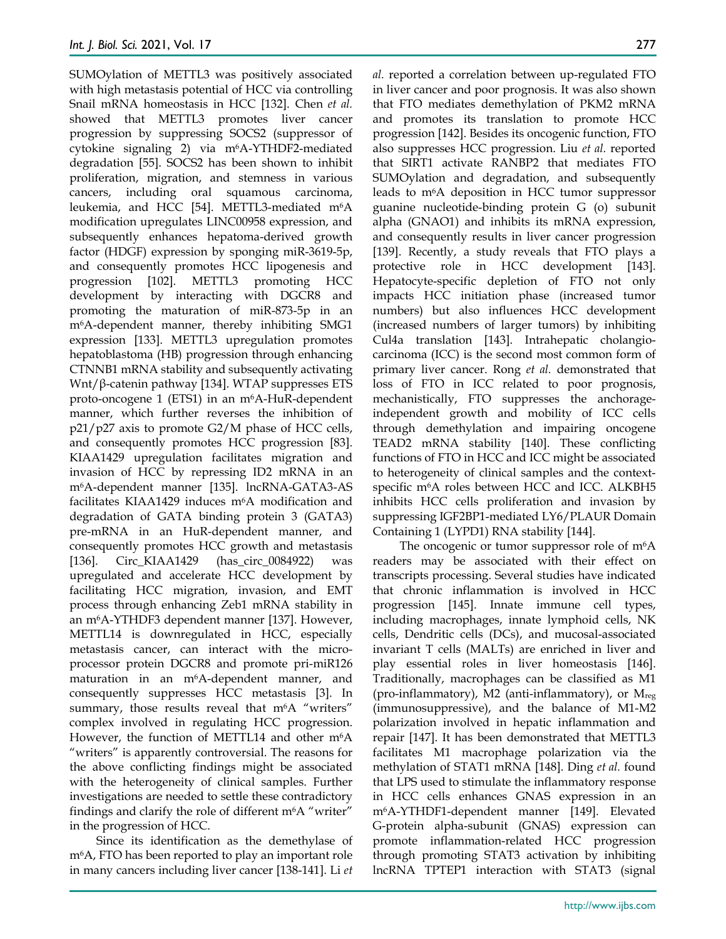SUMOylation of METTL3 was positively associated with high metastasis potential of HCC via controlling Snail mRNA homeostasis in HCC [132]. Chen *et al.*  showed that METTL3 promotes liver cancer progression by suppressing SOCS2 (suppressor of cytokine signaling 2) via m6A-YTHDF2-mediated degradation [55]. SOCS2 has been shown to inhibit proliferation, migration, and stemness in various cancers, including oral squamous carcinoma, leukemia, and HCC [54]. METTL3-mediated m<sup>6</sup>A modification upregulates LINC00958 expression, and subsequently enhances hepatoma-derived growth factor (HDGF) expression by sponging miR-3619-5p, and consequently promotes HCC lipogenesis and progression [102]. METTL3 promoting HCC development by interacting with DGCR8 and promoting the maturation of miR-873-5p in an m6A-dependent manner, thereby inhibiting SMG1 expression [133]. METTL3 upregulation promotes hepatoblastoma (HB) progression through enhancing CTNNB1 mRNA stability and subsequently activating Wnt/β-catenin pathway [134]. WTAP suppresses ETS proto-oncogene 1 (ETS1) in an m6A-HuR-dependent manner, which further reverses the inhibition of  $p21/p27$  axis to promote G2/M phase of HCC cells, and consequently promotes HCC progression [83]. KIAA1429 upregulation facilitates migration and invasion of HCC by repressing ID2 mRNA in an m6A-dependent manner [135]. lncRNA-GATA3-AS facilitates KIAA1429 induces m<sup>6</sup>A modification and degradation of GATA binding protein 3 (GATA3) pre-mRNA in an HuR-dependent manner, and consequently promotes HCC growth and metastasis [136]. Circ\_KIAA1429 (has\_circ\_0084922) was upregulated and accelerate HCC development by facilitating HCC migration, invasion, and EMT process through enhancing Zeb1 mRNA stability in an m6A-YTHDF3 dependent manner [137]. However, METTL14 is downregulated in HCC, especially metastasis cancer, can interact with the microprocessor protein DGCR8 and promote pri-miR126 maturation in an m6A-dependent manner, and consequently suppresses HCC metastasis [3]. In summary, those results reveal that m<sup>6</sup>A "writers" complex involved in regulating HCC progression. However, the function of METTL14 and other m<sup>6</sup>A "writers" is apparently controversial. The reasons for the above conflicting findings might be associated with the heterogeneity of clinical samples. Further investigations are needed to settle these contradictory findings and clarify the role of different  $m<sup>6</sup>A$  "writer" in the progression of HCC.

Since its identification as the demethylase of m6A, FTO has been reported to play an important role in many cancers including liver cancer [138-141]. Li *et* 

*al.* reported a correlation between up-regulated FTO in liver cancer and poor prognosis. It was also shown that FTO mediates demethylation of PKM2 mRNA and promotes its translation to promote HCC progression [142]. Besides its oncogenic function, FTO also suppresses HCC progression. Liu *et al.* reported that SIRT1 activate RANBP2 that mediates FTO SUMOylation and degradation, and subsequently leads to m6A deposition in HCC tumor suppressor guanine nucleotide-binding protein G (o) subunit alpha (GNAO1) and inhibits its mRNA expression, and consequently results in liver cancer progression [139]. Recently, a study reveals that FTO plays a protective role in HCC development [143]. Hepatocyte-specific depletion of FTO not only impacts HCC initiation phase (increased tumor numbers) but also influences HCC development (increased numbers of larger tumors) by inhibiting Cul4a translation [143]. Intrahepatic cholangiocarcinoma (ICC) is the second most common form of primary liver cancer. Rong *et al.* demonstrated that loss of FTO in ICC related to poor prognosis, mechanistically, FTO suppresses the anchorageindependent growth and mobility of ICC cells through demethylation and impairing oncogene TEAD2 mRNA stability [140]. These conflicting functions of FTO in HCC and ICC might be associated to heterogeneity of clinical samples and the contextspecific m<sup>6</sup>A roles between HCC and ICC. ALKBH5 inhibits HCC cells proliferation and invasion by suppressing IGF2BP1-mediated LY6/PLAUR Domain Containing 1 (LYPD1) RNA stability [144].

The oncogenic or tumor suppressor role of m<sup>6</sup>A readers may be associated with their effect on transcripts processing. Several studies have indicated that chronic inflammation is involved in HCC progression [145]. Innate immune cell types, including macrophages, innate lymphoid cells, NK cells, Dendritic cells (DCs), and mucosal-associated invariant T cells (MALTs) are enriched in liver and play essential roles in liver homeostasis [146]. Traditionally, macrophages can be classified as M1 (pro-inflammatory), M2 (anti-inflammatory), or  $M_{reg}$ (immunosuppressive), and the balance of M1-M2 polarization involved in hepatic inflammation and repair [147]. It has been demonstrated that METTL3 facilitates M1 macrophage polarization via the methylation of STAT1 mRNA [148]. Ding *et al.* found that LPS used to stimulate the inflammatory response in HCC cells enhances GNAS expression in an m6A-YTHDF1-dependent manner [149]. Elevated G-protein alpha-subunit (GNAS) expression can promote inflammation-related HCC progression through promoting STAT3 activation by inhibiting lncRNA TPTEP1 interaction with STAT3 (signal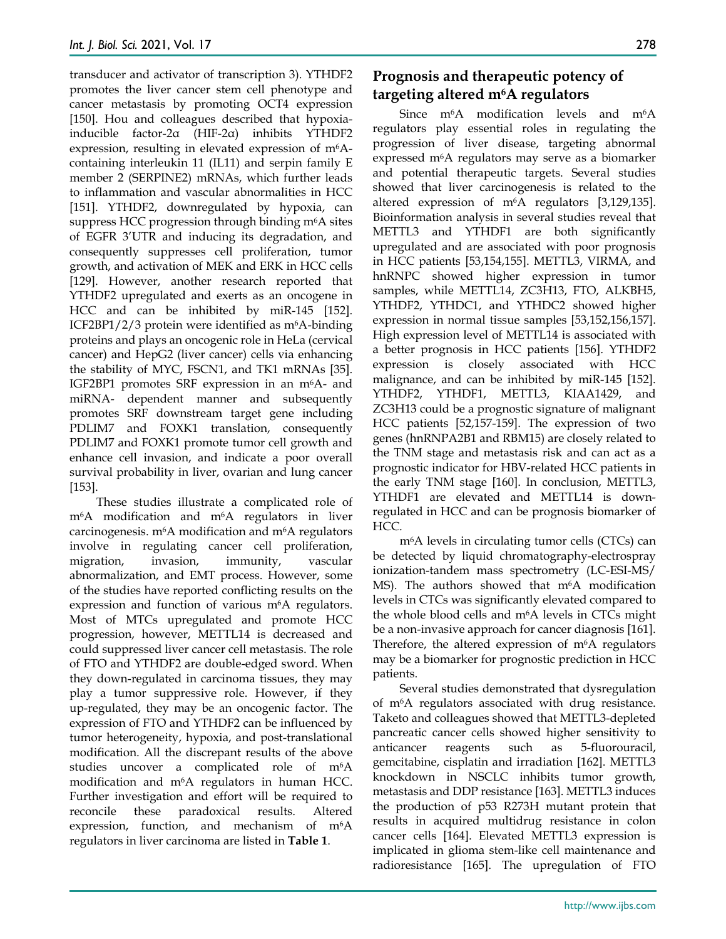transducer and activator of transcription 3). YTHDF2 promotes the liver cancer stem cell phenotype and cancer metastasis by promoting OCT4 expression [150]. Hou and colleagues described that hypoxiainducible factor-2α (HIF-2α) inhibits YTHDF2 expression, resulting in elevated expression of m<sup>6</sup>Acontaining interleukin 11 (IL11) and serpin family E member 2 (SERPINE2) mRNAs, which further leads to inflammation and vascular abnormalities in HCC [151]. YTHDF2, downregulated by hypoxia, can suppress HCC progression through binding m6A sites of EGFR 3'UTR and inducing its degradation, and consequently suppresses cell proliferation, tumor growth, and activation of MEK and ERK in HCC cells [129]. However, another research reported that YTHDF2 upregulated and exerts as an oncogene in HCC and can be inhibited by miR-145 [152]. ICF2BP1/2/3 protein were identified as m6A-binding proteins and plays an oncogenic role in HeLa (cervical cancer) and HepG2 (liver cancer) cells via enhancing the stability of MYC, FSCN1, and TK1 mRNAs [35]. IGF2BP1 promotes SRF expression in an m6A- and miRNA- dependent manner and subsequently promotes SRF downstream target gene including PDLIM7 and FOXK1 translation, consequently PDLIM7 and FOXK1 promote tumor cell growth and enhance cell invasion, and indicate a poor overall survival probability in liver, ovarian and lung cancer [153].

These studies illustrate a complicated role of m6A modification and m6A regulators in liver carcinogenesis. m6A modification and m6A regulators involve in regulating cancer cell proliferation, migration, invasion, immunity, vascular abnormalization, and EMT process. However, some of the studies have reported conflicting results on the expression and function of various  $m<sup>6</sup>A$  regulators. Most of MTCs upregulated and promote HCC progression, however, METTL14 is decreased and could suppressed liver cancer cell metastasis. The role of FTO and YTHDF2 are double-edged sword. When they down-regulated in carcinoma tissues, they may play a tumor suppressive role. However, if they up-regulated, they may be an oncogenic factor. The expression of FTO and YTHDF2 can be influenced by tumor heterogeneity, hypoxia, and post-translational modification. All the discrepant results of the above studies uncover a complicated role of m<sup>6</sup>A modification and m6A regulators in human HCC. Further investigation and effort will be required to reconcile these paradoxical results. Altered expression, function, and mechanism of m<sup>6</sup>A regulators in liver carcinoma are listed in **Table 1**.

## **Prognosis and therapeutic potency of targeting altered m6A regulators**

Since m<sup>6</sup>A modification levels and m<sup>6</sup>A regulators play essential roles in regulating the progression of liver disease, targeting abnormal expressed m6A regulators may serve as a biomarker and potential therapeutic targets. Several studies showed that liver carcinogenesis is related to the altered expression of m6A regulators [3,129,135]. Bioinformation analysis in several studies reveal that METTL3 and YTHDF1 are both significantly upregulated and are associated with poor prognosis in HCC patients [53,154,155]. METTL3, VIRMA, and hnRNPC showed higher expression in tumor samples, while METTL14, ZC3H13, FTO, ALKBH5, YTHDF2, YTHDC1, and YTHDC2 showed higher expression in normal tissue samples [53,152,156,157]. High expression level of METTL14 is associated with a better prognosis in HCC patients [156]. YTHDF2 expression is closely associated with HCC malignance, and can be inhibited by miR-145 [152]. YTHDF2, YTHDF1, METTL3, KIAA1429, and ZC3H13 could be a prognostic signature of malignant HCC patients [52,157-159]. The expression of two genes (hnRNPA2B1 and RBM15) are closely related to the TNM stage and metastasis risk and can act as a prognostic indicator for HBV-related HCC patients in the early TNM stage [160]. In conclusion, METTL3, YTHDF1 are elevated and METTL14 is downregulated in HCC and can be prognosis biomarker of HCC.

m6A levels in circulating tumor cells (CTCs) can be detected by liquid chromatography-electrospray ionization-tandem mass spectrometry (LC-ESI-MS/ MS). The authors showed that m<sup>6</sup>A modification levels in CTCs was significantly elevated compared to the whole blood cells and m6A levels in CTCs might be a non-invasive approach for cancer diagnosis [161]. Therefore, the altered expression of  $m<sup>6</sup>A$  regulators may be a biomarker for prognostic prediction in HCC patients.

Several studies demonstrated that dysregulation of m6A regulators associated with drug resistance. Taketo and colleagues showed that METTL3-depleted pancreatic cancer cells showed higher sensitivity to anticancer reagents such as 5-fluorouracil, gemcitabine, cisplatin and irradiation [162]. METTL3 knockdown in NSCLC inhibits tumor growth, metastasis and DDP resistance [163]. METTL3 induces the production of p53 R273H mutant protein that results in acquired multidrug resistance in colon cancer cells [164]. Elevated METTL3 expression is implicated in glioma stem-like cell maintenance and radioresistance [165]. The upregulation of FTO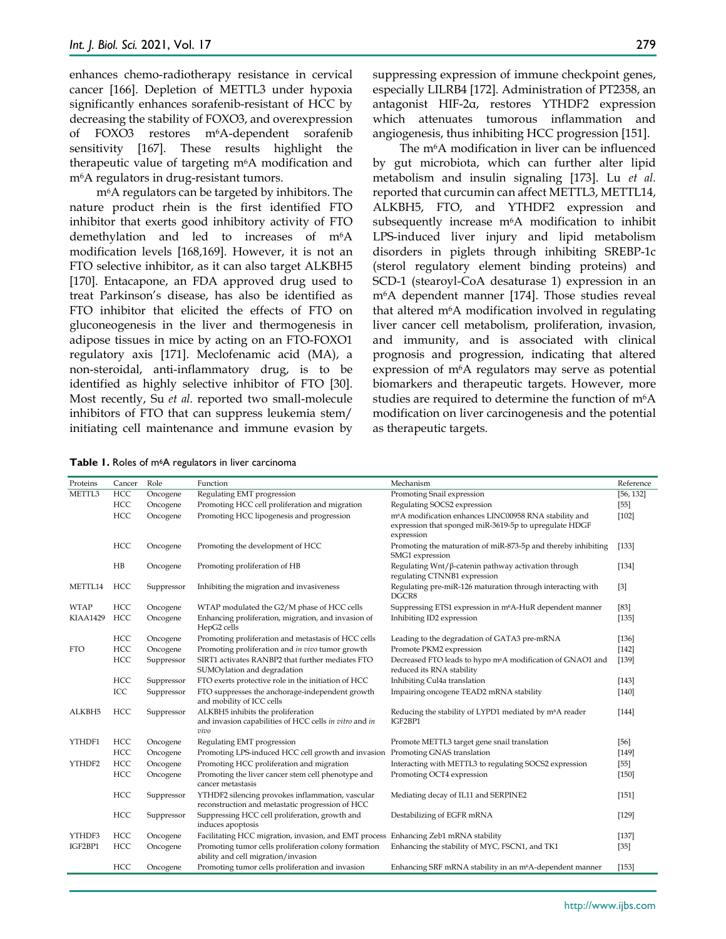enhances chemo-radiotherapy resistance in cervical cancer [166]. Depletion of METTL3 under hypoxia significantly enhances sorafenib-resistant of HCC by decreasing the stability of FOXO3, and overexpression of FOXO3 restores m6A-dependent sorafenib sensitivity [167]. These results highlight the therapeutic value of targeting m6A modification and m6A regulators in drug-resistant tumors.

m6A regulators can be targeted by inhibitors. The nature product rhein is the first identified FTO inhibitor that exerts good inhibitory activity of FTO demethylation and led to increases of m6A modification levels [168,169]. However, it is not an FTO selective inhibitor, as it can also target ALKBH5 [170]. Entacapone, an FDA approved drug used to treat Parkinson's disease, has also be identified as FTO inhibitor that elicited the effects of FTO on gluconeogenesis in the liver and thermogenesis in adipose tissues in mice by acting on an FTO-FOXO1 regulatory axis [171]. Meclofenamic acid (MA), a non-steroidal, anti-inflammatory drug, is to be identified as highly selective inhibitor of FTO [30]. Most recently, Su *et al.* reported two small-molecule inhibitors of FTO that can suppress leukemia stem/ initiating cell maintenance and immune evasion by

suppressing expression of immune checkpoint genes, especially LILRB4 [172]. Administration of PT2358, an antagonist HIF-2α, restores YTHDF2 expression which attenuates tumorous inflammation and angiogenesis, thus inhibiting HCC progression [151].

The m6A modification in liver can be influenced by gut microbiota, which can further alter lipid metabolism and insulin signaling [173]. Lu *et al.* reported that curcumin can affect METTL3, METTL14, ALKBH5, FTO, and YTHDF2 expression and subsequently increase m6A modification to inhibit LPS-induced liver injury and lipid metabolism disorders in piglets through inhibiting SREBP-1c (sterol regulatory element binding proteins) and SCD-1 (stearoyl-CoA desaturase 1) expression in an m6A dependent manner [174]. Those studies reveal that altered m6A modification involved in regulating liver cancer cell metabolism, proliferation, invasion, and immunity, and is associated with clinical prognosis and progression, indicating that altered expression of m6A regulators may serve as potential biomarkers and therapeutic targets. However, more studies are required to determine the function of m<sup>6</sup>A modification on liver carcinogenesis and the potential as therapeutic targets.

**Table 1.** Roles of m6A regulators in liver carcinoma

| Proteins        | Cancer | Role       | Function                                                                                             | Mechanism                                                                                                                                  | Reference |
|-----------------|--------|------------|------------------------------------------------------------------------------------------------------|--------------------------------------------------------------------------------------------------------------------------------------------|-----------|
| METTL3          | HCC    | Oncogene   | Regulating EMT progression                                                                           | Promoting Snail expression                                                                                                                 | [56, 132] |
|                 | HCC    | Oncogene   | Promoting HCC cell proliferation and migration                                                       | Regulating SOCS2 expression                                                                                                                | $[55]$    |
|                 | HCC    | Oncogene   | Promoting HCC lipogenesis and progression                                                            | m <sup>6</sup> A modification enhances LINC00958 RNA stability and<br>expression that sponged miR-3619-5p to upregulate HDGF<br>expression | $[102]$   |
|                 | HCC    | Oncogene   | Promoting the development of HCC                                                                     | Promoting the maturation of miR-873-5p and thereby inhibiting<br>SMG1 expression                                                           | $[133]$   |
|                 | H B    | Oncogene   | Promoting proliferation of HB                                                                        | Regulating $Wnt/\beta$ -catenin pathway activation through<br>regulating CTNNB1 expression                                                 | $[134]$   |
| METTL14         | HCC    | Suppressor | Inhibiting the migration and invasiveness                                                            | Regulating pre-miR-126 maturation through interacting with<br>DGCR8                                                                        | [3]       |
| <b>WTAP</b>     | HCC    | Oncogene   | WTAP modulated the G2/M phase of HCC cells                                                           | Suppressing ETS1 expression in m <sup>6</sup> A-HuR dependent manner                                                                       | $[83]$    |
| <b>KIAA1429</b> | HCC    | Oncogene   | Enhancing proliferation, migration, and invasion of<br>HepG2 cells                                   | Inhibiting ID2 expression                                                                                                                  | [135]     |
|                 | HCC    | Oncogene   | Promoting proliferation and metastasis of HCC cells                                                  | Leading to the degradation of GATA3 pre-mRNA                                                                                               | [136]     |
| <b>FTO</b>      | HCC    | Oncogene   | Promoting proliferation and in vivo tumor growth                                                     | Promote PKM2 expression                                                                                                                    | $[142]$   |
|                 | HCC    | Suppressor | SIRT1 activates RANBP2 that further mediates FTO<br>SUMOylation and degradation                      | Decreased FTO leads to hypo m <sup>6</sup> A modification of GNAO1 and<br>reduced its RNA stability                                        | [139]     |
|                 | HCC    | Suppressor | FTO exerts protective role in the initiation of HCC                                                  | Inhibiting Cul4a translation                                                                                                               | $[143]$   |
|                 | ICC    | Suppressor | FTO suppresses the anchorage-independent growth<br>and mobility of ICC cells                         | Impairing oncogene TEAD2 mRNA stability                                                                                                    | $[140]$   |
| ALKBH5          | HCC    | Suppressor | ALKBH5 inhibits the proliferation<br>and invasion capabilities of HCC cells in vitro and in<br>vivo  | Reducing the stability of LYPD1 mediated by m <sup>6</sup> A reader<br>IGF2BP1                                                             | $[144]$   |
| YTHDF1          | HCC    | Oncogene   | Regulating EMT progression                                                                           | Promote METTL3 target gene snail translation                                                                                               | $[56]$    |
|                 | HCC    | Oncogene   | Promoting LPS-induced HCC cell growth and invasion Promoting GNAS translation                        |                                                                                                                                            | [149]     |
| YTHDF2          | HCC    | Oncogene   | Promoting HCC proliferation and migration                                                            | Interacting with METTL3 to regulating SOCS2 expression                                                                                     | $[55]$    |
|                 | HCC    | Oncogene   | Promoting the liver cancer stem cell phenotype and<br>cancer metastasis                              | Promoting OCT4 expression                                                                                                                  | $[150]$   |
|                 | HCC    | Suppressor | YTHDF2 silencing provokes inflammation, vascular<br>reconstruction and metastatic progression of HCC | Mediating decay of IL11 and SERPINE2                                                                                                       | [151]     |
|                 | HCC    | Suppressor | Suppressing HCC cell proliferation, growth and<br>induces apoptosis                                  | Destabilizing of EGFR mRNA                                                                                                                 | $[129]$   |
| YTHDF3          | HCC    | Oncogene   | Facilitating HCC migration, invasion, and EMT process Enhancing Zeb1 mRNA stability                  |                                                                                                                                            | $[137]$   |
| IGF2BP1         | HCC    | Oncogene   | Promoting tumor cells proliferation colony formation<br>ability and cell migration/invasion          | Enhancing the stability of MYC, FSCN1, and TK1                                                                                             | $[35]$    |
|                 | HCC    | Oncogene   | Promoting tumor cells proliferation and invasion                                                     | Enhancing SRF mRNA stability in an m <sup>6</sup> A-dependent manner                                                                       | [153]     |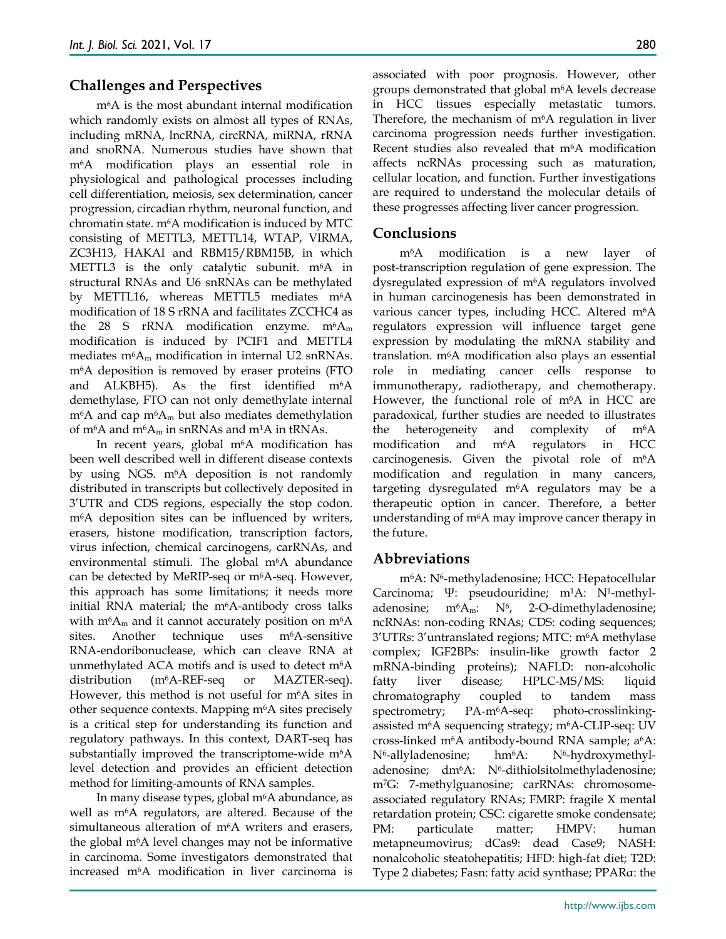#### **Challenges and Perspectives**

m6A is the most abundant internal modification which randomly exists on almost all types of RNAs, including mRNA, lncRNA, circRNA, miRNA, rRNA and snoRNA. Numerous studies have shown that m6A modification plays an essential role in physiological and pathological processes including cell differentiation, meiosis, sex determination, cancer progression, circadian rhythm, neuronal function, and chromatin state. m6A modification is induced by MTC consisting of METTL3, METTL14, WTAP, VIRMA, ZC3H13, HAKAI and RBM15/RBM15B, in which METTL3 is the only catalytic subunit.  $m<sup>6</sup>A$  in structural RNAs and U6 snRNAs can be methylated by METTL16, whereas METTL5 mediates m<sup>6</sup>A modification of 18 S rRNA and facilitates ZCCHC4 as the 28 S rRNA modification enzyme.  $m<sup>6</sup>A<sub>m</sub>$ modification is induced by PCIF1 and METTL4 mediates  $m<sup>6</sup>A<sub>m</sub>$  modification in internal U2 snRNAs. m6A deposition is removed by eraser proteins (FTO and ALKBH5). As the first identified m<sup>6</sup>A demethylase, FTO can not only demethylate internal  $m<sup>6</sup>A$  and cap  $m<sup>6</sup>A<sub>m</sub>$  but also mediates demethylation of m<sup>6</sup>A and m<sup>6</sup>A<sub>m</sub> in snRNAs and m<sup>1</sup>A in tRNAs.

In recent years, global  $m<sup>6</sup>A$  modification has been well described well in different disease contexts by using NGS. m<sup>6</sup>A deposition is not randomly distributed in transcripts but collectively deposited in 3'UTR and CDS regions, especially the stop codon. m6A deposition sites can be influenced by writers, erasers, histone modification, transcription factors, virus infection, chemical carcinogens, carRNAs, and environmental stimuli. The global  $m<sup>6</sup>A$  abundance can be detected by MeRIP-seq or m6A-seq. However, this approach has some limitations; it needs more initial RNA material; the m6A-antibody cross talks with  $m<sup>6</sup>A<sub>m</sub>$  and it cannot accurately position on  $m<sup>6</sup>A$ sites. Another technique uses m<sup>6</sup>A-sensitive RNA-endoribonuclease, which can cleave RNA at unmethylated ACA motifs and is used to detect m<sup>6</sup>A distribution (m6A-REF-seq or MAZTER-seq). However, this method is not useful for m<sup>6</sup>A sites in other sequence contexts. Mapping m6A sites precisely is a critical step for understanding its function and regulatory pathways. In this context, DART-seq has substantially improved the transcriptome-wide m<sup>6</sup>A level detection and provides an efficient detection method for limiting-amounts of RNA samples.

In many disease types, global m6A abundance, as well as m<sup>6</sup>A regulators, are altered. Because of the simultaneous alteration of m6A writers and erasers, the global m6A level changes may not be informative in carcinoma. Some investigators demonstrated that increased m6A modification in liver carcinoma is associated with poor prognosis. However, other groups demonstrated that global m6A levels decrease in HCC tissues especially metastatic tumors. Therefore, the mechanism of m6A regulation in liver carcinoma progression needs further investigation. Recent studies also revealed that m6A modification affects ncRNAs processing such as maturation, cellular location, and function. Further investigations are required to understand the molecular details of these progresses affecting liver cancer progression.

#### **Conclusions**

m6A modification is a new layer of post-transcription regulation of gene expression. The dysregulated expression of m6A regulators involved in human carcinogenesis has been demonstrated in various cancer types, including HCC. Altered m6A regulators expression will influence target gene expression by modulating the mRNA stability and translation. m6A modification also plays an essential role in mediating cancer cells response to immunotherapy, radiotherapy, and chemotherapy. However, the functional role of m6A in HCC are paradoxical, further studies are needed to illustrates the heterogeneity and complexity of m6A modification and m6A regulators in HCC carcinogenesis. Given the pivotal role of m6A modification and regulation in many cancers, targeting dysregulated m6A regulators may be a therapeutic option in cancer. Therefore, a better understanding of m6A may improve cancer therapy in the future.

## **Abbreviations**

m6A: N6-methyladenosine; HCC: Hepatocellular Carcinoma; Ψ: pseudouridine; m1A: N1-methyladenosine;  $m<sup>6</sup>A<sub>m</sub>$ : N<sup>6</sup>, 2-O-dimethyladenosine; ncRNAs: non-coding RNAs; CDS: coding sequences; 3'UTRs: 3'untranslated regions; MTC: m6A methylase complex; IGF2BPs: insulin-like growth factor 2 mRNA-binding proteins); NAFLD: non-alcoholic fatty liver disease; HPLC-MS/MS: liquid chromatography coupled to tandem mass spectrometry; PA-m<sup>6</sup>A-seq: photo-crosslinkingassisted m<sup>6</sup>A sequencing strategy; m<sup>6</sup>A-CLIP-seq: UV cross-linked m<sup>6</sup>A antibody-bound RNA sample;  $a<sup>6</sup>A$ : N<sup>6</sup>-allyladenosine; hm<sup>6</sup>A: N<sup>6</sup>-hydroxymethyladenosine; dm<sup>6</sup>A: N<sup>6</sup>-dithiolsitolmethyladenosine; m7G: 7-methylguanosine; carRNAs: chromosomeassociated regulatory RNAs; FMRP: fragile X mental retardation protein; CSC: cigarette smoke condensate; PM: particulate matter; HMPV: human metapneumovirus; dCas9: dead Case9; NASH: nonalcoholic steatohepatitis; HFD: high-fat diet; T2D: Type 2 diabetes; Fasn: fatty acid synthase; PPARα: the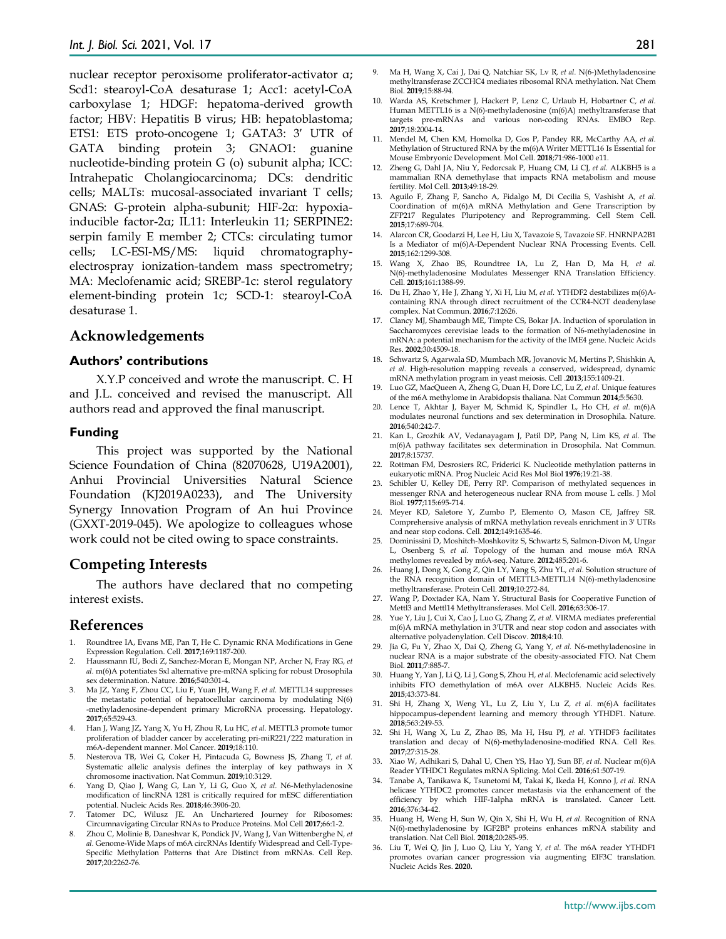nuclear receptor peroxisome proliferator-activator α; Scd1: stearoyl-CoA desaturase 1; Acc1: acetyl-CoA carboxylase 1; HDGF: hepatoma-derived growth factor; HBV: Hepatitis B virus; HB: hepatoblastoma; ETS1: ETS proto-oncogene 1; GATA3: 3′ UTR of GATA binding protein 3; GNAO1: guanine nucleotide-binding protein G (o) subunit alpha; ICC: Intrahepatic Cholangiocarcinoma; DCs: dendritic cells; MALTs: mucosal-associated invariant T cells; GNAS: G-protein alpha-subunit; HIF-2α: hypoxiainducible factor-2α; IL11: Interleukin 11; SERPINE2: serpin family E member 2; CTCs: circulating tumor cells; LC-ESI-MS/MS: liquid chromatographyelectrospray ionization-tandem mass spectrometry; MA: Meclofenamic acid; SREBP-1c: sterol regulatory element-binding protein 1c; SCD-1: stearoyl-CoA desaturase 1.

#### **Acknowledgements**

#### **Authors' contributions**

X.Y.P conceived and wrote the manuscript. C. H and J.L. conceived and revised the manuscript. All authors read and approved the final manuscript.

#### **Funding**

This project was supported by the National Science Foundation of China (82070628, U19A2001), Anhui Provincial Universities Natural Science Foundation (KJ2019A0233), and The University Synergy Innovation Program of An hui Province (GXXT-2019-045). We apologize to colleagues whose work could not be cited owing to space constraints.

#### **Competing Interests**

The authors have declared that no competing interest exists.

#### **References**

- 1. Roundtree IA, Evans ME, Pan T, He C. Dynamic RNA Modifications in Gene Expression Regulation. Cell. **2017**;169:1187-200.
- 2. Haussmann IU, Bodi Z, Sanchez-Moran E, Mongan NP, Archer N, Fray RG*, et al.* m(6)A potentiates Sxl alternative pre-mRNA splicing for robust Drosophila sex determination. Nature. **2016**;540:301-4.
- 3. Ma JZ, Yang F, Zhou CC, Liu F, Yuan JH, Wang F*, et al.* METTL14 suppresses the metastatic potential of hepatocellular carcinoma by modulating N(6) -methyladenosine-dependent primary MicroRNA processing. Hepatology. **2017**;65:529-43.
- 4. Han J, Wang JZ, Yang X, Yu H, Zhou R, Lu HC*, et al.* METTL3 promote tumor proliferation of bladder cancer by accelerating pri-miR221/222 maturation in m6A-dependent manner. Mol Cancer. **2019**;18:110.
- 5. Nesterova TB, Wei G, Coker H, Pintacuda G, Bowness JS, Zhang T*, et al.* Systematic allelic analysis defines the interplay of key pathways in X chromosome inactivation. Nat Commun. **2019**;10:3129.
- 6. Yang D, Qiao J, Wang G, Lan Y, Li G, Guo X*, et al.* N6-Methyladenosine modification of lincRNA 1281 is critically required for mESC differentiation potential. Nucleic Acids Res. **2018**;46:3906-20.
- 7. Tatomer DC, Wilusz JE. An Unchartered Journey for Ribosomes: Circumnavigating Circular RNAs to Produce Proteins. Mol Cell **2017**;66:1-2.
- 8. Zhou C, Molinie B, Daneshvar K, Pondick JV, Wang J, Van Wittenberghe N*, et al.* Genome-Wide Maps of m6A circRNAs Identify Widespread and Cell-Type-Specific Methylation Patterns that Are Distinct from mRNAs. Cell Rep. **2017**;20:2262-76.
- 9. Ma H, Wang X, Cai J, Dai Q, Natchiar SK, Lv R*, et al.* N(6-)Methyladenosine methyltransferase ZCCHC4 mediates ribosomal RNA methylation. Nat Chem Biol. **2019**;15:88-94.
- 10. Warda AS, Kretschmer J, Hackert P, Lenz C, Urlaub H, Hobartner C*, et al.* Human METTL16 is a N(6)-methyladenosine (m(6)A) methyltransferase that targets pre-mRNAs and various non-coding RNAs. EMBO Rep. **2017**;18:2004-14.
- 11. Mendel M, Chen KM, Homolka D, Gos P, Pandey RR, McCarthy AA*, et al.* Methylation of Structured RNA by the m(6)A Writer METTL16 Is Essential for Mouse Embryonic Development. Mol Cell. **2018**;71:986-1000 e11.
- 12. Zheng G, Dahl JA, Niu Y, Fedorcsak P, Huang CM, Li CJ*, et al.* ALKBH5 is a mammalian RNA demethylase that impacts RNA metabolism and mouse fertility. Mol Cell. **2013**;49:18-29.
- 13. Aguilo F, Zhang F, Sancho A, Fidalgo M, Di Cecilia S, Vashisht A*, et al.* Coordination of m(6)A mRNA Methylation and Gene Transcription by ZFP217 Regulates Pluripotency and Reprogramming. Cell Stem Cell. **2015**;17:689-704.
- 14. Alarcon CR, Goodarzi H, Lee H, Liu X, Tavazoie S, Tavazoie SF. HNRNPA2B1 Is a Mediator of m(6)A-Dependent Nuclear RNA Processing Events. Cell. **2015**;162:1299-308.
- 15. Wang X, Zhao BS, Roundtree IA, Lu Z, Han D, Ma H*, et al.* N(6)-methyladenosine Modulates Messenger RNA Translation Efficiency. Cell. **2015**;161:1388-99.
- 16. Du H, Zhao Y, He J, Zhang Y, Xi H, Liu M*, et al.* YTHDF2 destabilizes m(6)Acontaining RNA through direct recruitment of the CCR4-NOT deadenylase complex. Nat Commun. **2016**;7:12626.
- 17. Clancy MJ, Shambaugh ME, Timpte CS, Bokar JA. Induction of sporulation in Saccharomyces cerevisiae leads to the formation of N6-methyladenosine in mRNA: a potential mechanism for the activity of the IME4 gene. Nucleic Acids Res. **2002**;30:4509-18.
- 18. Schwartz S, Agarwala SD, Mumbach MR, Jovanovic M, Mertins P, Shishkin A*, et al.* High-resolution mapping reveals a conserved, widespread, dynamic mRNA methylation program in yeast meiosis. Cell .**2013**;155:1409-21.
- 19. Luo GZ, MacQueen A, Zheng G, Duan H, Dore LC, Lu Z*, et al.* Unique features of the m6A methylome in Arabidopsis thaliana. Nat Commun **2014**;5:5630.
- 20. Lence T, Akhtar J, Bayer M, Schmid K, Spindler L, Ho CH*, et al.* m(6)A modulates neuronal functions and sex determination in Drosophila. Nature. **2016**;540:242-7.
- 21. Kan L, Grozhik AV, Vedanayagam J, Patil DP, Pang N, Lim KS*, et al.* The m(6)A pathway facilitates sex determination in Drosophila. Nat Commun. **2017**;8:15737.
- 22. Rottman FM, Desrosiers RC, Friderici K. Nucleotide methylation patterns in eukaryotic mRNA. Prog Nucleic Acid Res Mol Biol **1976**;19:21-38.
- 23. Schibler U, Kelley DE, Perry RP. Comparison of methylated sequences in messenger RNA and heterogeneous nuclear RNA from mouse L cells. J Mol Biol. **1977**;115:695-714.
- 24. Meyer KD, Saletore Y, Zumbo P, Elemento O, Mason CE, Jaffrey SR. Comprehensive analysis of mRNA methylation reveals enrichment in 3' UTRs and near stop codons. Cell. **2012**;149:1635-46.
- 25. Dominissini D, Moshitch-Moshkovitz S, Schwartz S, Salmon-Divon M, Ungar L, Osenberg S*, et al.* Topology of the human and mouse m6A RNA methylomes revealed by m6A-seq. Nature. **2012**;485:201-6.
- 26. Huang J, Dong X, Gong Z, Qin LY, Yang S, Zhu YL*, et al.* Solution structure of the RNA recognition domain of METTL3-METTL14 N(6)-methyladenosine methyltransferase. Protein Cell. **2019**;10:272-84.
- 27. Wang P, Doxtader KA, Nam Y. Structural Basis for Cooperative Function of Mettl3 and Mettl14 Methyltransferases. Mol Cell. **2016**;63:306-17.
- 28. Yue Y, Liu J, Cui X, Cao J, Luo G, Zhang Z*, et al.* VIRMA mediates preferential m(6)A mRNA methylation in 3'UTR and near stop codon and associates with alternative polyadenylation. Cell Discov. **2018**;4:10.
- 29. Jia G, Fu Y, Zhao X, Dai Q, Zheng G, Yang Y*, et al.* N6-methyladenosine in nuclear RNA is a major substrate of the obesity-associated FTO. Nat Chem Biol. **2011**;7:885-7.
- 30. Huang Y, Yan J, Li Q, Li J, Gong S, Zhou H*, et al.* Meclofenamic acid selectively inhibits FTO demethylation of m6A over ALKBH5. Nucleic Acids Res. **2015**;43:373-84.
- 31. Shi H, Zhang X, Weng YL, Lu Z, Liu Y, Lu Z*, et al.* m(6)A facilitates hippocampus-dependent learning and memory through YTHDF1. Nature. **2018**;563:249-53.
- 32. Shi H, Wang X, Lu Z, Zhao BS, Ma H, Hsu PJ*, et al.* YTHDF3 facilitates translation and decay of N(6)-methyladenosine-modified RNA. Cell Res. **2017**;27:315-28.
- 33. Xiao W, Adhikari S, Dahal U, Chen YS, Hao YJ, Sun BF*, et al.* Nuclear m(6)A Reader YTHDC1 Regulates mRNA Splicing. Mol Cell. **2016**;61:507-19.
- 34. Tanabe A, Tanikawa K, Tsunetomi M, Takai K, Ikeda H, Konno J*, et al.* RNA helicase YTHDC2 promotes cancer metastasis via the enhancement of the efficiency by which HIF-1alpha mRNA is translated. Cancer Lett. **2016**;376:34-42.
- 35. Huang H, Weng H, Sun W, Qin X, Shi H, Wu H*, et al.* Recognition of RNA N(6)-methyladenosine by IGF2BP proteins enhances mRNA stability and translation. Nat Cell Biol. **2018**;20:285-95.
- 36. Liu T, Wei Q, Jin J, Luo Q, Liu Y, Yang Y*, et al.* The m6A reader YTHDF1 promotes ovarian cancer progression via augmenting EIF3C translation. Nucleic Acids Res. **2020.**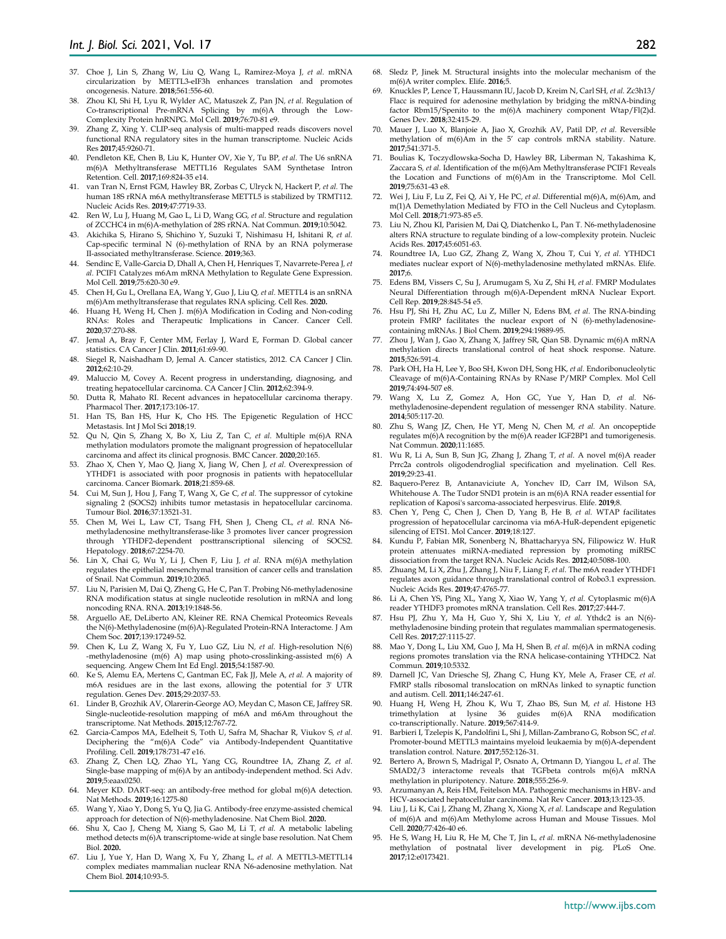- 37. Choe J, Lin S, Zhang W, Liu Q, Wang L, Ramirez-Moya J*, et al.* mRNA circularization by METTL3-eIF3h enhances translation and promotes oncogenesis. Nature. **2018**;561:556-60.
- 38. Zhou KI, Shi H, Lyu R, Wylder AC, Matuszek Z, Pan JN*, et al.* Regulation of Co-transcriptional Pre-mRNA Splicing by m(6)A through the Low-Complexity Protein hnRNPG. Mol Cell. **2019**;76:70-81 e9.
- 39. Zhang Z, Xing Y. CLIP-seq analysis of multi-mapped reads discovers novel functional RNA regulatory sites in the human transcriptome. Nucleic Acids Res **2017**;45:9260-71.
- 40. Pendleton KE, Chen B, Liu K, Hunter OV, Xie Y, Tu BP*, et al.* The U6 snRNA m(6)A Methyltransferase METTL16 Regulates SAM Synthetase Intron Retention. Cell. **2017**;169:824-35 e14.
- 41. van Tran N, Ernst FGM, Hawley BR, Zorbas C, Ulryck N, Hackert P*, et al.* The human 18S rRNA m6A methyltransferase METTL5 is stabilized by TRMT112. Nucleic Acids Res. **2019**;47:7719-33.
- 42. Ren W, Lu J, Huang M, Gao L, Li D, Wang GG*, et al.* Structure and regulation of ZCCHC4 in m(6)A-methylation of 28S rRNA. Nat Commun. **2019**;10:5042.
- 43. Akichika S, Hirano S, Shichino Y, Suzuki T, Nishimasu H, Ishitani R*, et al.* Cap-specific terminal N (6)-methylation of RNA by an RNA polymerase II-associated methyltransferase. Science. **2019**;363.
- 44. Sendinc E, Valle-Garcia D, Dhall A, Chen H, Henriques T, Navarrete-Perea J*, et al.* PCIF1 Catalyzes m6Am mRNA Methylation to Regulate Gene Expression. Mol Cell. **2019**;75:620-30 e9.
- 45. Chen H, Gu L, Orellana EA, Wang Y, Guo J, Liu Q*, et al.* METTL4 is an snRNA m(6)Am methyltransferase that regulates RNA splicing. Cell Res. **2020.**
- 46. Huang H, Weng H, Chen J. m(6)A Modification in Coding and Non-coding RNAs: Roles and Therapeutic Implications in Cancer. Cancer Cell. **2020**;37:270-88.
- 47. Jemal A, Bray F, Center MM, Ferlay J, Ward E, Forman D. Global cancer statistics. CA Cancer J Clin. **2011**;61:69-90.
- 48. Siegel R, Naishadham D, Jemal A. Cancer statistics, 2012. CA Cancer J Clin. **2012**;62:10-29.
- 49. Maluccio M, Covey A. Recent progress in understanding, diagnosing, and treating hepatocellular carcinoma. CA Cancer J Clin. **2012**;62:394-9.
- 50. Dutta R, Mahato RI. Recent advances in hepatocellular carcinoma therapy. Pharmacol Ther. **2017**;173:106-17.
- 51. Han TS, Ban HS, Hur K, Cho HS. The Epigenetic Regulation of HCC Metastasis. Int J Mol Sci **2018**;19.
- 52. Qu N, Qin S, Zhang X, Bo X, Liu Z, Tan C*, et al.* Multiple m(6)A RNA methylation modulators promote the malignant progression of hepatocellular carcinoma and affect its clinical prognosis. BMC Cancer. **2020**;20:165.
- 53. Zhao X, Chen Y, Mao Q, Jiang X, Jiang W, Chen J*, et al.* Overexpression of YTHDF1 is associated with poor prognosis in patients with hepatocellular carcinoma. Cancer Biomark. **2018**;21:859-68.
- 54. Cui M, Sun J, Hou J, Fang T, Wang X, Ge C*, et al.* The suppressor of cytokine signaling 2 (SOCS2) inhibits tumor metastasis in hepatocellular carcinoma. Tumour Biol. **2016**;37:13521-31.
- 55. Chen M, Wei L, Law CT, Tsang FH, Shen J, Cheng CL*, et al.* RNA N6 methyladenosine methyltransferase-like 3 promotes liver cancer progression through YTHDF2-dependent posttranscriptional silencing of SOCS2. Hepatology. **2018**;67:2254-70.
- 56. Lin X, Chai G, Wu Y, Li J, Chen F, Liu J*, et al.* RNA m(6)A methylation regulates the epithelial mesenchymal transition of cancer cells and translation of Snail. Nat Commun. **2019**;10:2065.
- 57. Liu N, Parisien M, Dai Q, Zheng G, He C, Pan T. Probing N6-methyladenosine RNA modification status at single nucleotide resolution in mRNA and long noncoding RNA. RNA. **2013**;19:1848-56.
- 58. Arguello AE, DeLiberto AN, Kleiner RE. RNA Chemical Proteomics Reveals the N(6)-Methyladenosine (m(6)A)-Regulated Protein-RNA Interactome. J Am Chem Soc. **2017**;139:17249-52.
- 59. Chen K, Lu Z, Wang X, Fu Y, Luo GZ, Liu N*, et al.* High-resolution N(6) -methyladenosine (m(6) A) map using photo-crosslinking-assisted m(6) A sequencing. Angew Chem Int Ed Engl. **2015**;54:1587-90.
- 60. Ke S, Alemu EA, Mertens C, Gantman EC, Fak JJ, Mele A*, et al.* A majority of m6A residues are in the last exons, allowing the potential for 3' UTR regulation. Genes Dev. **2015**;29:2037-53.
- Linder B, Grozhik AV, Olarerin-George AO, Meydan C, Mason CE, Jaffrey SR. Single-nucleotide-resolution mapping of m6A and m6Am throughout the transcriptome. Nat Methods. **2015**;12:767-72.
- 62. Garcia-Campos MA, Edelheit S, Toth U, Safra M, Shachar R, Viukov S*, et al.* Deciphering the "m(6)A Code" via Antibody-Independent Quantitative Profiling. Cell. **2019**;178:731-47 e16.
- 63. Zhang Z, Chen LQ, Zhao YL, Yang CG, Roundtree IA, Zhang Z*, et al.* Single-base mapping of m(6)A by an antibody-independent method. Sci Adv. **2019**;5:eaax0250.
- 64. Meyer KD. DART-seq: an antibody-free method for global m(6)A detection. Nat Methods. **2019**;16:1275-80
- 65. Wang Y, Xiao Y, Dong S, Yu Q, Jia G. Antibody-free enzyme-assisted chemical approach for detection of N(6)-methyladenosine. Nat Chem Biol. **2020.**
- 66. Shu X, Cao J, Cheng M, Xiang S, Gao M, Li T*, et al.* A metabolic labeling method detects m(6)A transcriptome-wide at single base resolution. Nat Chem Biol. **2020.**
- 67. Liu J, Yue Y, Han D, Wang X, Fu Y, Zhang L*, et al.* A METTL3-METTL14 complex mediates mammalian nuclear RNA N6-adenosine methylation. Nat Chem Biol. **2014**;10:93-5.
- 68. Sledz P, Jinek M. Structural insights into the molecular mechanism of the m(6)A writer complex. Elife. **2016**;5.
- 69. Knuckles P, Lence T, Haussmann IU, Jacob D, Kreim N, Carl SH*, et al.* Zc3h13/ Flacc is required for adenosine methylation by bridging the mRNA-binding factor Rbm15/Spenito to the m(6)A machinery component Wtap/Fl(2)d. Genes Dev. **2018**;32:415-29.
- 70. Mauer J, Luo X, Blanjoie A, Jiao X, Grozhik AV, Patil DP*, et al.* Reversible methylation of m(6)Am in the 5' cap controls mRNA stability. Nature. **2017**;541:371-5.
- 71. Boulias K, Toczydlowska-Socha D, Hawley BR, Liberman N, Takashima K, Zaccara S*, et al.* Identification of the m(6)Am Methyltransferase PCIF1 Reveals the Location and Functions of m(6)Am in the Transcriptome. Mol Cell. **2019**;75:631-43 e8.
- 72. Wei J, Liu F, Lu Z, Fei Q, Ai Y, He PC*, et al.* Differential m(6)A, m(6)Am, and m(1)A Demethylation Mediated by FTO in the Cell Nucleus and Cytoplasm. Mol Cell. **2018**;71:973-85 e5.
- 73. Liu N, Zhou KI, Parisien M, Dai Q, Diatchenko L, Pan T. N6-methyladenosine alters RNA structure to regulate binding of a low-complexity protein. Nucleic Acids Res. **2017**;45:6051-63.
- 74. Roundtree IA, Luo GZ, Zhang Z, Wang X, Zhou T, Cui Y*, et al.* YTHDC1 mediates nuclear export of N(6)-methyladenosine methylated mRNAs. Elife. **2017**;6.
- 75. Edens BM, Vissers C, Su J, Arumugam S, Xu Z, Shi H*, et al.* FMRP Modulates Neural Differentiation through m(6)A-Dependent mRNA Nuclear Export. Cell Rep. **2019**;28:845-54 e5.
- 76. Hsu PJ, Shi H, Zhu AC, Lu Z, Miller N, Edens BM*, et al.* The RNA-binding protein FMRP facilitates the nuclear export of N (6)-methyladenosinecontaining mRNAs. J Biol Chem. **2019**;294:19889-95.
- 77. Zhou J, Wan J, Gao X, Zhang X, Jaffrey SR, Qian SB. Dynamic m(6)A mRNA methylation directs translational control of heat shock response. Nature. **2015**;526:591-4.
- 78. Park OH, Ha H, Lee Y, Boo SH, Kwon DH, Song HK*, et al.* Endoribonucleolytic Cleavage of m(6)A-Containing RNAs by RNase P/MRP Complex. Mol Cell **2019**;74:494-507 e8.
- 79. Wang X, Lu Z, Gomez A, Hon GC, Yue Y, Han D*, et al.* N6 methyladenosine-dependent regulation of messenger RNA stability. Nature. **2014**;505:117-20.
- 80. Zhu S, Wang JZ, Chen, He YT, Meng N, Chen M*, et al.* An oncopeptide regulates m(6)A recognition by the m(6)A reader IGF2BP1 and tumorigenesis. Nat Commun. **2020**;11:1685.
- 81. Wu R, Li A, Sun B, Sun JG, Zhang J, Zhang T*, et al.* A novel m(6)A reader Prrc2a controls oligodendroglial specification and myelination. Cell Res. **2019**;29:23-41.
- Baquero-Perez B, Antanaviciute A, Yonchev ID, Carr IM, Wilson SA, Whitehouse A. The Tudor SND1 protein is an m(6)A RNA reader essential for replication of Kaposi's sarcoma-associated herpesvirus. Elife. **2019**;8.
- 83. Chen Y, Peng C, Chen J, Chen D, Yang B, He B*, et al.* WTAP facilitates progression of hepatocellular carcinoma via m6A-HuR-dependent epigenetic silencing of ETS1. Mol Cancer. **2019**;18:127.
- 84. Kundu P, Fabian MR, Sonenberg N, Bhattacharyya SN, Filipowicz W. HuR protein attenuates miRNA-mediated repression by promoting miRISC dissociation from the target RNA. Nucleic Acids Res. **2012**;40:5088-100.
- 85. Zhuang M, Li X, Zhu J, Zhang J, Niu F, Liang F*, et al.* The m6A reader YTHDF1 regulates axon guidance through translational control of Robo3.1 expression. Nucleic Acids Res. **2019**;47:4765-77.
- 86. Li A, Chen YS, Ping XL, Yang X, Xiao W, Yang Y*, et al.* Cytoplasmic m(6)A
- reader YTHDF3 promotes mRNA translation. Cell Res. **2017**;27:444-7. 87. Hsu PJ, Zhu Y, Ma H, Guo Y, Shi X, Liu Y*, et al.* Ythdc2 is an N(6) methyladenosine binding protein that regulates mammalian spermatogenesis. Cell Res. **2017**;27:1115-27.
- 88. Mao Y, Dong L, Liu XM, Guo J, Ma H, Shen B*, et al.* m(6)A in mRNA coding regions promotes translation via the RNA helicase-containing YTHDC2. Nat Commun. **2019**;10:5332.
- 89. Darnell JC, Van Driesche SJ, Zhang C, Hung KY, Mele A, Fraser CE*, et al.* FMRP stalls ribosomal translocation on mRNAs linked to synaptic function and autism. Cell. **2011**;146:247-61.
- 90. Huang H, Weng H, Zhou K, Wu T, Zhao BS, Sun M*, et al.* Histone H3 trimethylation at lysine 36 guides co-transcriptionally. Nature. **2019**;567:414-9.
- 91. Barbieri I, Tzelepis K, Pandolfini L, Shi J, Millan-Zambrano G, Robson SC*, et al.* Promoter-bound METTL3 maintains myeloid leukaemia by m(6)A-dependent translation control. Nature. **2017**;552:126-31.
- 92. Bertero A, Brown S, Madrigal P, Osnato A, Ortmann D, Yiangou L*, et al.* The SMAD2/3 interactome reveals that TGFbeta controls m(6)A mRNA methylation in pluripotency. Nature. **2018**;555:256-9.
- 93. Arzumanyan A, Reis HM, Feitelson MA. Pathogenic mechanisms in HBV- and HCV-associated hepatocellular carcinoma. Nat Rev Cancer. **2013**;13:123-35.
- 94. Liu J, Li K, Cai J, Zhang M, Zhang X, Xiong X*, et al.* Landscape and Regulation of m(6)A and m(6)Am Methylome across Human and Mouse Tissues. Mol Cell. **2020**;77:426-40 e6.
- 95. He S, Wang H, Liu R, He M, Che T, Jin L*, et al.* mRNA N6-methyladenosine methylation of postnatal liver development in pig. PLoS One. **2017**;12:e0173421.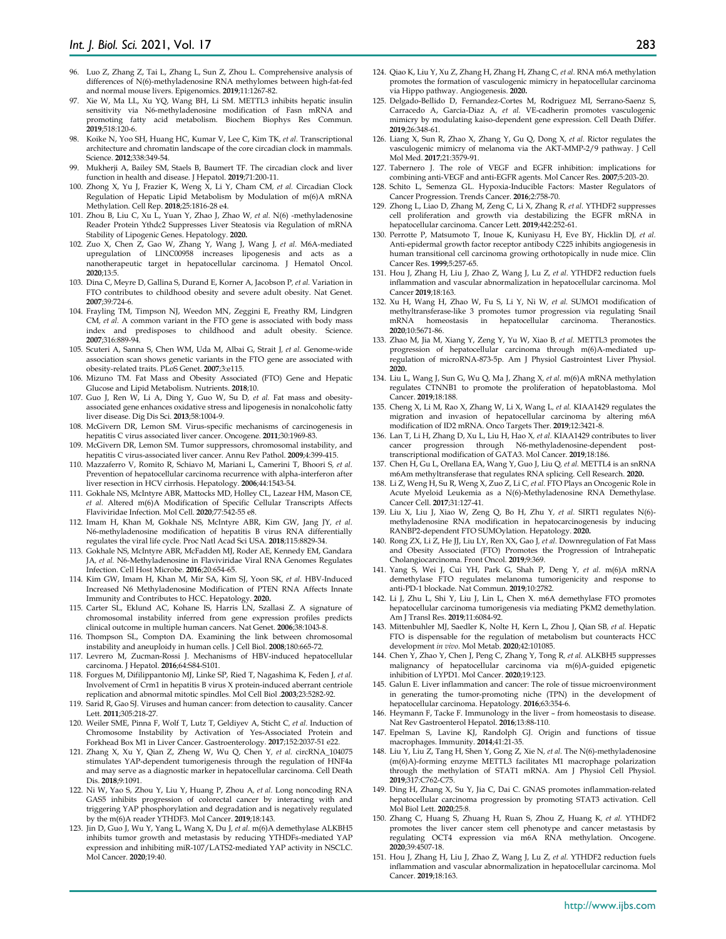- 96. Luo Z, Zhang Z, Tai L, Zhang L, Sun Z, Zhou L. Comprehensive analysis of differences of N(6)-methyladenosine RNA methylomes between high-fat-fed and normal mouse livers. Epigenomics. **2019**;11:1267-82.
- 97. Xie W, Ma LL, Xu YQ, Wang BH, Li SM. METTL3 inhibits hepatic insulin sensitivity via N6-methyladenosine modification of Fasn mRNA and promoting fatty acid metabolism. Biochem Biophys Res Commun. **2019**;518:120-6.
- 98. Koike N, Yoo SH, Huang HC, Kumar V, Lee C, Kim TK*, et al.* Transcriptional architecture and chromatin landscape of the core circadian clock in mammals. Science. **2012**;338:349-54.
- Mukherji A, Bailey SM, Staels B, Baumert TF. The circadian clock and liver function in health and disease. J Hepatol. **2019**;71:200-11.
- 100. Zhong X, Yu J, Frazier K, Weng X, Li Y, Cham CM*, et al.* Circadian Clock Regulation of Hepatic Lipid Metabolism by Modulation of m(6)A mRNA Methylation. Cell Rep. **2018**;25:1816-28 e4.
- 101. Zhou B, Liu C, Xu L, Yuan Y, Zhao J, Zhao W*, et al.* N(6) -methyladenosine Reader Protein Ythdc2 Suppresses Liver Steatosis via Regulation of mRNA Stability of Lipogenic Genes. Hepatology. **2020.**
- 102. Zuo X, Chen Z, Gao W, Zhang Y, Wang J, Wang J*, et al.* M6A-mediated upregulation of LINC00958 increases lipogenesis and acts as a nanotherapeutic target in hepatocellular carcinoma. J Hematol Oncol. **2020**;13:5.
- 103. Dina C, Meyre D, Gallina S, Durand E, Korner A, Jacobson P*, et al.* Variation in FTO contributes to childhood obesity and severe adult obesity. Nat Genet. **2007**;39:724-6.
- 104. Frayling TM, Timpson NJ, Weedon MN, Zeggini E, Freathy RM, Lindgren CM*, et al.* A common variant in the FTO gene is associated with body mass index and predisposes to childhood and adult obesity. Science. **2007**;316:889-94.
- 105. Scuteri A, Sanna S, Chen WM, Uda M, Albai G, Strait J*, et al.* Genome-wide association scan shows genetic variants in the FTO gene are associated with obesity-related traits. PLoS Genet. **2007**;3:e115.
- 106. Mizuno TM. Fat Mass and Obesity Associated (FTO) Gene and Hepatic Glucose and Lipid Metabolism. Nutrients. **2018**;10.
- 107. Guo J, Ren W, Li A, Ding Y, Guo W, Su D*, et al.* Fat mass and obesityassociated gene enhances oxidative stress and lipogenesis in nonalcoholic fatty liver disease. Dig Dis Sci. **2013**;58:1004-9.
- 108. McGivern DR, Lemon SM. Virus-specific mechanisms of carcinogenesis in hepatitis C virus associated liver cancer. Oncogene. **2011**;30:1969-83.
- 109. McGivern DR, Lemon SM. Tumor suppressors, chromosomal instability, and hepatitis C virus-associated liver cancer. Annu Rev Pathol. **2009**;4:399-415.
- 110. Mazzaferro V, Romito R, Schiavo M, Mariani L, Camerini T, Bhoori S*, et al.* Prevention of hepatocellular carcinoma recurrence with alpha-interferon after liver resection in HCV cirrhosis. Hepatology. **2006**;44:1543-54.
- 111. Gokhale NS, McIntyre ABR, Mattocks MD, Holley CL, Lazear HM, Mason CE*, et al.* Altered m(6)A Modification of Specific Cellular Transcripts Affects Flaviviridae Infection. Mol Cell. **2020**;77:542-55 e8.
- 112. Imam H, Khan M, Gokhale NS, McIntyre ABR, Kim GW, Jang JY*, et al.* N6-methyladenosine modification of hepatitis B virus RNA differentially regulates the viral life cycle. Proc Natl Acad Sci USA. **2018**;115:8829-34.
- 113. Gokhale NS, McIntyre ABR, McFadden MJ, Roder AE, Kennedy EM, Gandara JA*, et al.* N6-Methyladenosine in Flaviviridae Viral RNA Genomes Regulates Infection. Cell Host Microbe. **2016**;20:654-65.
- 114. Kim GW, Imam H, Khan M, Mir SA, Kim SJ, Yoon SK*, et al.* HBV-Induced Increased N6 Methyladenosine Modification of PTEN RNA Affects Innate Immunity and Contributes to HCC. Hepatology. **2020.**
- 115. Carter SL, Eklund AC, Kohane IS, Harris LN, Szallasi Z. A signature of chromosomal instability inferred from gene expression profiles predicts clinical outcome in multiple human cancers. Nat Genet. **2006**;38:1043-8.
- 116. Thompson SL, Compton DA. Examining the link between chromosomal instability and aneuploidy in human cells. J Cell Biol. **2008**;180:665-72.
- 117. Levrero M, Zucman-Rossi J. Mechanisms of HBV-induced hepatocellular carcinoma. J Hepatol. **2016**;64:S84-S101.
- 118. Forgues M, Difilippantonio MJ, Linke SP, Ried T, Nagashima K, Feden J*, et al.* Involvement of Crm1 in hepatitis B virus X protein-induced aberrant centriole replication and abnormal mitotic spindles. Mol Cell Biol .**2003**;23:5282-92.
- 119. Sarid R, Gao SJ. Viruses and human cancer: from detection to causality. Cancer Lett. **2011**;305:218-27.
- 120. Weiler SME, Pinna F, Wolf T, Lutz T, Geldiyev A, Sticht C*, et al.* Induction of Chromosome Instability by Activation of Yes-Associated Protein and Forkhead Box M1 in Liver Cancer. Gastroenterology. **2017**;152:2037-51 e22.
- 121. Zhang X, Xu Y, Qian Z, Zheng W, Wu Q, Chen Y*, et al.* circRNA\_104075 stimulates YAP-dependent tumorigenesis through the regulation of HNF4a and may serve as a diagnostic marker in hepatocellular carcinoma. Cell Death Dis. **2018**;9:1091.
- 122. Ni W, Yao S, Zhou Y, Liu Y, Huang P, Zhou A*, et al.* Long noncoding RNA GAS5 inhibits progression of colorectal cancer by interacting with and triggering YAP phosphorylation and degradation and is negatively regulated by the m(6)A reader YTHDF3. Mol Cancer. **2019**;18:143.
- 123. Jin D, Guo J, Wu Y, Yang L, Wang X, Du J*, et al.* m(6)A demethylase ALKBH5 inhibits tumor growth and metastasis by reducing YTHDFs-mediated YAP expression and inhibiting miR-107/LATS2-mediated YAP activity in NSCLC. Mol Cancer. **2020**;19:40.
- 124. Qiao K, Liu Y, Xu Z, Zhang H, Zhang H, Zhang C*, et al.* RNA m6A methylation promotes the formation of vasculogenic mimicry in hepatocellular carcinoma via Hippo pathway. Angiogenesis. **2020.**
- 125. Delgado-Bellido D, Fernandez-Cortes M, Rodriguez MI, Serrano-Saenz S, Carracedo A, Garcia-Diaz A*, et al.* VE-cadherin promotes vasculogenic mimicry by modulating kaiso-dependent gene expression. Cell Death Differ. **2019**;26:348-61.
- 126. Liang X, Sun R, Zhao X, Zhang Y, Gu Q, Dong X*, et al.* Rictor regulates the vasculogenic mimicry of melanoma via the AKT-MMP-2/9 pathway. J Cell Mol Med. **2017**;21:3579-91.
- 127. Tabernero J. The role of VEGF and EGFR inhibition: implications for combining anti-VEGF and anti-EGFR agents. Mol Cancer Res. **2007**;5:203-20.
- 128. Schito L, Semenza GL. Hypoxia-Inducible Factors: Master Regulators of Cancer Progression. Trends Cancer. **2016**;2:758-70.
- 129. Zhong L, Liao D, Zhang M, Zeng C, Li X, Zhang R*, et al.* YTHDF2 suppresses cell proliferation and growth via destabilizing the EGFR mRNA in hepatocellular carcinoma. Cancer Lett. **2019**;442:252-61.
- 130. Perrotte P, Matsumoto T, Inoue K, Kuniyasu H, Eve BY, Hicklin DJ*, et al.* Anti-epidermal growth factor receptor antibody C225 inhibits angiogenesis in human transitional cell carcinoma growing orthotopically in nude mice. Clin Cancer Res. **1999**;5:257-65.
- 131. Hou J, Zhang H, Liu J, Zhao Z, Wang J, Lu Z*, et al.* YTHDF2 reduction fuels inflammation and vascular abnormalization in hepatocellular carcinoma. Mol Cancer **2019**;18:163.
- 132. Xu H, Wang H, Zhao W, Fu S, Li Y, Ni W*, et al.* SUMO1 modification of methyltransferase-like 3 promotes tumor progression via regulating Snail mRNA homeostasis in hepatocellular carcinoma. Theranostics. in hepatocellular **2020**;10:5671-86.
- 133. Zhao M, Jia M, Xiang Y, Zeng Y, Yu W, Xiao B*, et al.* METTL3 promotes the progression of hepatocellular carcinoma through m(6)A-mediated upregulation of microRNA-873-5p. Am J Physiol Gastrointest Liver Physiol. **2020.**
- 134. Liu L, Wang J, Sun G, Wu Q, Ma J, Zhang X*, et al.* m(6)A mRNA methylation regulates CTNNB1 to promote the proliferation of hepatoblastoma. Mol Cancer. **2019**;18:188.
- 135. Cheng X, Li M, Rao X, Zhang W, Li X, Wang L*, et al.* KIAA1429 regulates the migration and invasion of hepatocellular carcinoma by altering m6A modification of ID2 mRNA. Onco Targets Ther. **2019**;12:3421-8.
- 136. Lan T, Li H, Zhang D, Xu L, Liu H, Hao X*, et al.* KIAA1429 contributes to liver cancer progression through N6-methyladenosine-dependent posttranscriptional modification of GATA3. Mol Cancer. **2019**;18:186.
- 137. Chen H, Gu L, Orellana EA, Wang Y, Guo J, Liu Q*, et al.* METTL4 is an snRNA m6Am methyltransferase that regulates RNA splicing. Cell Research. **2020.**
- 138. Li Z, Weng H, Su R, Weng X, Zuo Z, Li C*, et al.* FTO Plays an Oncogenic Role in Acute Myeloid Leukemia as a N(6)-Methyladenosine RNA Demethylase. Cancer Cell. **2017**;31:127-41.
- 139. Liu X, Liu J, Xiao W, Zeng Q, Bo H, Zhu Y*, et al.* SIRT1 regulates N(6) methyladenosine RNA modification in hepatocarcinogenesis by inducing RANBP2-dependent FTO SUMOylation. Hepatology. **2020.**
- 140. Rong ZX, Li Z, He JJ, Liu LY, Ren XX, Gao J*, et al.* Downregulation of Fat Mass and Obesity Associated (FTO) Promotes the Progression of Intrahepatic Cholangiocarcinoma. Front Oncol. **2019**;9:369.
- 141. Yang S, Wei J, Cui YH, Park G, Shah P, Deng Y*, et al.* m(6)A mRNA demethylase FTO regulates melanoma tumorigenicity and response to anti-PD-1 blockade. Nat Commun. **2019**;10:2782.
- 142. Li J, Zhu L, Shi Y, Liu J, Lin L, Chen X. m6A demethylase FTO promotes hepatocellular carcinoma tumorigenesis via mediating PKM2 demethylation. Am J Transl Res. **2019**;11:6084-92.
- 143. Mittenbuhler MJ, Saedler K, Nolte H, Kern L, Zhou J, Qian SB*, et al.* Hepatic FTO is dispensable for the regulation of metabolism but counteracts HCC development *in vivo*. Mol Metab. **2020**;42:101085.
- 144. Chen Y, Zhao Y, Chen J, Peng C, Zhang Y, Tong R*, et al.* ALKBH5 suppresses malignancy of hepatocellular carcinoma via m(6)A-guided epigenetic inhibition of LYPD1. Mol Cancer. **2020**;19:123.
- 145. Galun E. Liver inflammation and cancer: The role of tissue microenvironment in generating the tumor-promoting niche (TPN) in the development of hepatocellular carcinoma. Hepatology. **2016**;63:354-6.
- 146. Heymann F, Tacke F. Immunology in the liver from homeostasis to disease. Nat Rev Gastroenterol Hepatol. **2016**;13:88-110.
- 147. Epelman S, Lavine KJ, Randolph GJ. Origin and functions of tissue macrophages. Immunity. **2014**;41:21-35.
- 148. Liu Y, Liu Z, Tang H, Shen Y, Gong Z, Xie N*, et al.* The N(6)-methyladenosine (m(6)A)-forming enzyme METTL3 facilitates M1 macrophage polarization through the methylation of STAT1 mRNA. Am J Physiol Cell Physiol. **2019**;317:C762-C75.
- 149. Ding H, Zhang X, Su Y, Jia C, Dai C. GNAS promotes inflammation-related hepatocellular carcinoma progression by promoting STAT3 activation. Cell Mol Biol Lett. **2020**;25:8.
- 150. Zhang C, Huang S, Zhuang H, Ruan S, Zhou Z, Huang K*, et al.* YTHDF2 promotes the liver cancer stem cell phenotype and cancer metastasis by regulating OCT4 expression via m6A RNA methylation. Oncogene. **2020**;39:4507-18.
- 151. Hou J, Zhang H, Liu J, Zhao Z, Wang J, Lu Z*, et al.* YTHDF2 reduction fuels inflammation and vascular abnormalization in hepatocellular carcinoma. Mol Cancer. **2019**;18:163.